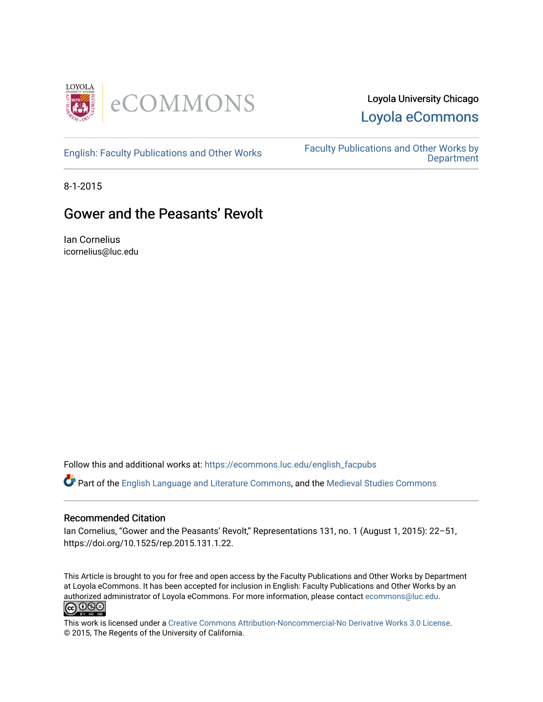

# Loyola University Chicago [Loyola eCommons](https://ecommons.luc.edu/)

[English: Faculty Publications and Other Works](https://ecommons.luc.edu/english_facpubs) Faculty Publications and Other Works by **Department** 

8-1-2015

# Gower and the Peasants' Revolt

Ian Cornelius icornelius@luc.edu

Follow this and additional works at: [https://ecommons.luc.edu/english\\_facpubs](https://ecommons.luc.edu/english_facpubs?utm_source=ecommons.luc.edu%2Fenglish_facpubs%2F90&utm_medium=PDF&utm_campaign=PDFCoverPages) 

Part of the [English Language and Literature Commons](https://network.bepress.com/hgg/discipline/455?utm_source=ecommons.luc.edu%2Fenglish_facpubs%2F90&utm_medium=PDF&utm_campaign=PDFCoverPages), and the [Medieval Studies Commons](https://network.bepress.com/hgg/discipline/480?utm_source=ecommons.luc.edu%2Fenglish_facpubs%2F90&utm_medium=PDF&utm_campaign=PDFCoverPages) 

## Recommended Citation

Ian Cornelius, "Gower and the Peasants' Revolt," Representations 131, no. 1 (August 1, 2015): 22–51, https://doi.org/10.1525/rep.2015.131.1.22.

This Article is brought to you for free and open access by the Faculty Publications and Other Works by Department at Loyola eCommons. It has been accepted for inclusion in English: Faculty Publications and Other Works by an authorized administrator of Loyola eCommons. For more information, please contact [ecommons@luc.edu](mailto:ecommons@luc.edu).<br> **@000** 



This work is licensed under a [Creative Commons Attribution-Noncommercial-No Derivative Works 3.0 License.](https://creativecommons.org/licenses/by-nc-nd/3.0/) © 2015, The Regents of the University of California.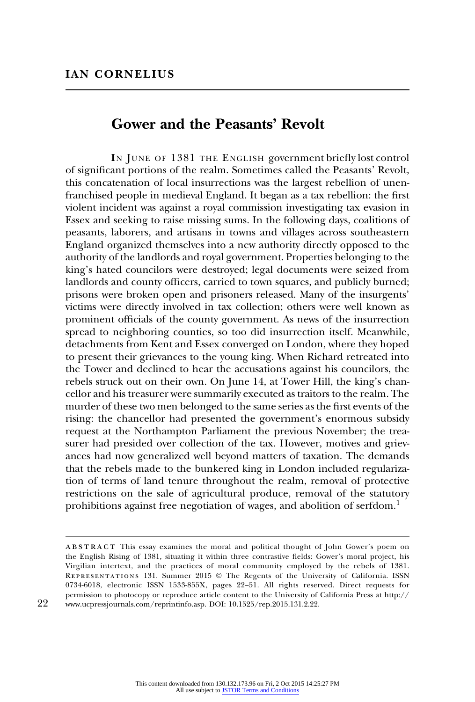## Gower and the Peasants' Revolt

IN JUNE OF 1381 THE ENGLISH government briefly lost control of significant portions of the realm. Sometimes called the Peasants' Revolt, this concatenation of local insurrections was the largest rebellion of unenfranchised people in medieval England. It began as a tax rebellion: the first violent incident was against a royal commission investigating tax evasion in Essex and seeking to raise missing sums. In the following days, coalitions of peasants, laborers, and artisans in towns and villages across southeastern England organized themselves into a new authority directly opposed to the authority of the landlords and royal government. Properties belonging to the king's hated councilors were destroyed; legal documents were seized from landlords and county officers, carried to town squares, and publicly burned; prisons were broken open and prisoners released. Many of the insurgents' victims were directly involved in tax collection; others were well known as prominent officials of the county government. As news of the insurrection spread to neighboring counties, so too did insurrection itself. Meanwhile, detachments from Kent and Essex converged on London, where they hoped to present their grievances to the young king. When Richard retreated into the Tower and declined to hear the accusations against his councilors, the rebels struck out on their own. On June 14, at Tower Hill, the king's chancellor and his treasurer were summarily executed as traitors to the realm. The murder of these two men belonged to the same series as the first events of the rising: the chancellor had presented the government's enormous subsidy request at the Northampton Parliament the previous November; the treasurer had presided over collection of the tax. However, motives and grievances had now generalized well beyond matters of taxation. The demands that the rebels made to the bunkered king in London included regularization of terms of land tenure throughout the realm, removal of protective restrictions on the sale of agricultural produce, removal of the statutory prohibitions against free negotiation of wages, and abolition of serfdom.<sup>1</sup>

abstract This essay examines the moral and political thought of John Gower's poem on the English Rising of 1381, situating it within three contrastive fields: Gower's moral project, his Virgilian intertext, and the practices of moral community employed by the rebels of 1381. Representations 131. Summer 2015 © The Regents of the University of California. ISSN 0734-6018, electronic ISSN 1533-855X, pages 22–51. All rights reserved. Direct requests for permission to photocopy or reproduce article content to the University of California Press at [http://](http://www.ucpressjournals.com/reprintinfo.asp) 22 [www.ucpressjournals.com/reprintinfo.asp](http://www.ucpressjournals.com/reprintinfo.asp). DOI: 10.1525/rep.2015.131.2.22.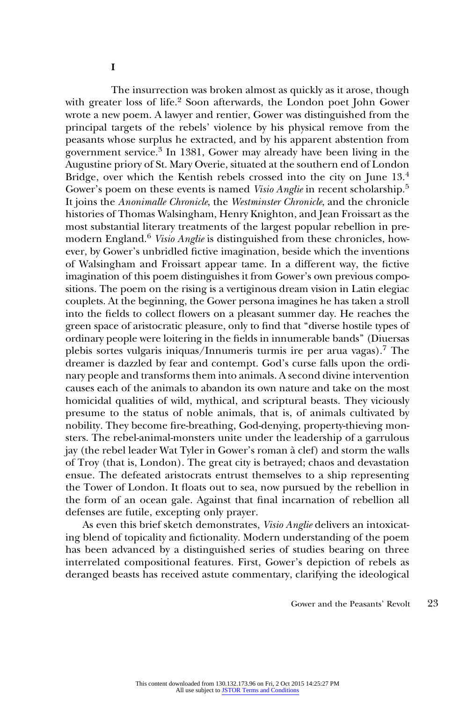I

The insurrection was broken almost as quickly as it arose, though with greater loss of life.<sup>2</sup> Soon afterwards, the London poet John Gower wrote a new poem. A lawyer and rentier, Gower was distinguished from the principal targets of the rebels' violence by his physical remove from the peasants whose surplus he extracted, and by his apparent abstention from government service.<sup>3</sup> In 1381, Gower may already have been living in the Augustine priory of St. Mary Overie, situated at the southern end of London Bridge, over which the Kentish rebels crossed into the city on June 13.<sup>4</sup> Gower's poem on these events is named *Visio Anglie* in recent scholarship.<sup>5</sup> It joins the Anonimalle Chronicle, the Westminster Chronicle, and the chronicle histories of Thomas Walsingham, Henry Knighton, and Jean Froissart as the most substantial literary treatments of the largest popular rebellion in premodern England.<sup>6</sup> Visio Anglie is distinguished from these chronicles, however, by Gower's unbridled fictive imagination, beside which the inventions of Walsingham and Froissart appear tame. In a different way, the fictive imagination of this poem distinguishes it from Gower's own previous compositions. The poem on the rising is a vertiginous dream vision in Latin elegiac couplets. At the beginning, the Gower persona imagines he has taken a stroll into the fields to collect flowers on a pleasant summer day. He reaches the green space of aristocratic pleasure, only to find that ''diverse hostile types of ordinary people were loitering in the fields in innumerable bands'' (Diuersas plebis sortes vulgaris iniquas/Innumeris turmis ire per arua vagas).7 The dreamer is dazzled by fear and contempt. God's curse falls upon the ordinary people and transforms them into animals. A second divine intervention causes each of the animals to abandon its own nature and take on the most homicidal qualities of wild, mythical, and scriptural beasts. They viciously presume to the status of noble animals, that is, of animals cultivated by nobility. They become fire-breathing, God-denying, property-thieving monsters. The rebel-animal-monsters unite under the leadership of a garrulous jay (the rebel leader Wat Tyler in Gower's roman a` clef) and storm the walls of Troy (that is, London). The great city is betrayed; chaos and devastation ensue. The defeated aristocrats entrust themselves to a ship representing the Tower of London. It floats out to sea, now pursued by the rebellion in the form of an ocean gale. Against that final incarnation of rebellion all defenses are futile, excepting only prayer.

As even this brief sketch demonstrates, Visio Anglie delivers an intoxicating blend of topicality and fictionality. Modern understanding of the poem has been advanced by a distinguished series of studies bearing on three interrelated compositional features. First, Gower's depiction of rebels as deranged beasts has received astute commentary, clarifying the ideological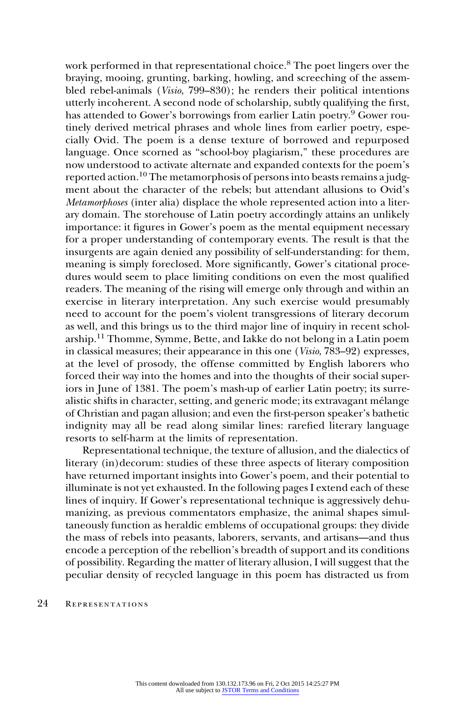work performed in that representational choice.<sup>8</sup> The poet lingers over the braying, mooing, grunting, barking, howling, and screeching of the assembled rebel-animals (Visio, 799–830); he renders their political intentions utterly incoherent. A second node of scholarship, subtly qualifying the first, has attended to Gower's borrowings from earlier Latin poetry.<sup>9</sup> Gower routinely derived metrical phrases and whole lines from earlier poetry, especially Ovid. The poem is a dense texture of borrowed and repurposed language. Once scorned as ''school-boy plagiarism,'' these procedures are now understood to activate alternate and expanded contexts for the poem's reported action.<sup>10</sup> The metamorphosis of persons into beasts remains a judgment about the character of the rebels; but attendant allusions to Ovid's Metamorphoses (inter alia) displace the whole represented action into a literary domain. The storehouse of Latin poetry accordingly attains an unlikely importance: it figures in Gower's poem as the mental equipment necessary for a proper understanding of contemporary events. The result is that the insurgents are again denied any possibility of self-understanding: for them, meaning is simply foreclosed. More significantly, Gower's citational procedures would seem to place limiting conditions on even the most qualified readers. The meaning of the rising will emerge only through and within an exercise in literary interpretation. Any such exercise would presumably need to account for the poem's violent transgressions of literary decorum as well, and this brings us to the third major line of inquiry in recent scholarship.11 Thomme, Symme, Bette, and Iakke do not belong in a Latin poem in classical measures; their appearance in this one (Visio, 783–92) expresses, at the level of prosody, the offense committed by English laborers who forced their way into the homes and into the thoughts of their social superiors in June of 1381. The poem's mash-up of earlier Latin poetry; its surrealistic shifts in character, setting, and generic mode; its extravagant mélange of Christian and pagan allusion; and even the first-person speaker's bathetic indignity may all be read along similar lines: rarefied literary language resorts to self-harm at the limits of representation.

Representational technique, the texture of allusion, and the dialectics of literary (in)decorum: studies of these three aspects of literary composition have returned important insights into Gower's poem, and their potential to illuminate is not yet exhausted. In the following pages I extend each of these lines of inquiry. If Gower's representational technique is aggressively dehumanizing, as previous commentators emphasize, the animal shapes simultaneously function as heraldic emblems of occupational groups: they divide the mass of rebels into peasants, laborers, servants, and artisans—and thus encode a perception of the rebellion's breadth of support and its conditions of possibility. Regarding the matter of literary allusion, I will suggest that the peculiar density of recycled language in this poem has distracted us from

#### 24 REPRESENTATIONS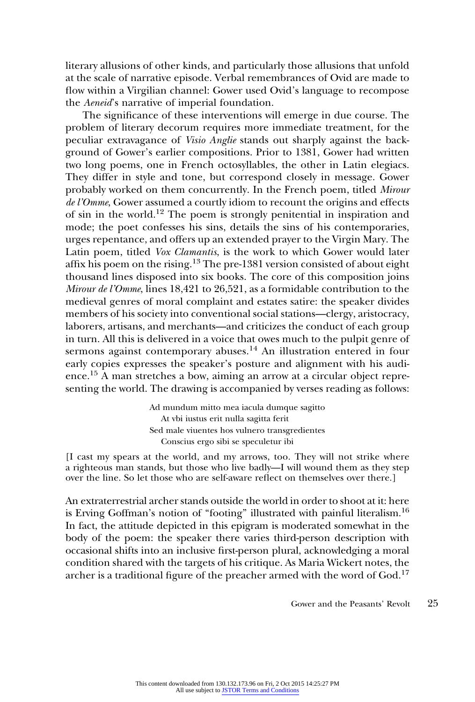literary allusions of other kinds, and particularly those allusions that unfold at the scale of narrative episode. Verbal remembrances of Ovid are made to flow within a Virgilian channel: Gower used Ovid's language to recompose the Aeneid's narrative of imperial foundation.

The significance of these interventions will emerge in due course. The problem of literary decorum requires more immediate treatment, for the peculiar extravagance of Visio Anglie stands out sharply against the background of Gower's earlier compositions. Prior to 1381, Gower had written two long poems, one in French octosyllables, the other in Latin elegiacs. They differ in style and tone, but correspond closely in message. Gower probably worked on them concurrently. In the French poem, titled Mirour de l'Omme, Gower assumed a courtly idiom to recount the origins and effects of sin in the world.12 The poem is strongly penitential in inspiration and mode; the poet confesses his sins, details the sins of his contemporaries, urges repentance, and offers up an extended prayer to the Virgin Mary. The Latin poem, titled Vox Clamantis, is the work to which Gower would later affix his poem on the rising.<sup>13</sup> The pre-1381 version consisted of about eight thousand lines disposed into six books. The core of this composition joins Mirour de l'Omme, lines 18,421 to 26,521, as a formidable contribution to the medieval genres of moral complaint and estates satire: the speaker divides members of his society into conventional social stations—clergy, aristocracy, laborers, artisans, and merchants—and criticizes the conduct of each group in turn. All this is delivered in a voice that owes much to the pulpit genre of sermons against contemporary abuses.<sup>14</sup> An illustration entered in four early copies expresses the speaker's posture and alignment with his audience.<sup>15</sup> A man stretches a bow, aiming an arrow at a circular object representing the world. The drawing is accompanied by verses reading as follows:

> Ad mundum mitto mea iacula dumque sagitto At vbi iustus erit nulla sagitta ferit Sed male viuentes hos vulnero transgredientes Conscius ergo sibi se speculetur ibi

[I cast my spears at the world, and my arrows, too. They will not strike where a righteous man stands, but those who live badly—I will wound them as they step over the line. So let those who are self-aware reflect on themselves over there.]

An extraterrestrial archer stands outside the world in order to shoot at it: here is Erving Goffman's notion of "footing" illustrated with painful literalism.<sup>16</sup> In fact, the attitude depicted in this epigram is moderated somewhat in the body of the poem: the speaker there varies third-person description with occasional shifts into an inclusive first-person plural, acknowledging a moral condition shared with the targets of his critique. As Maria Wickert notes, the archer is a traditional figure of the preacher armed with the word of God.<sup>17</sup>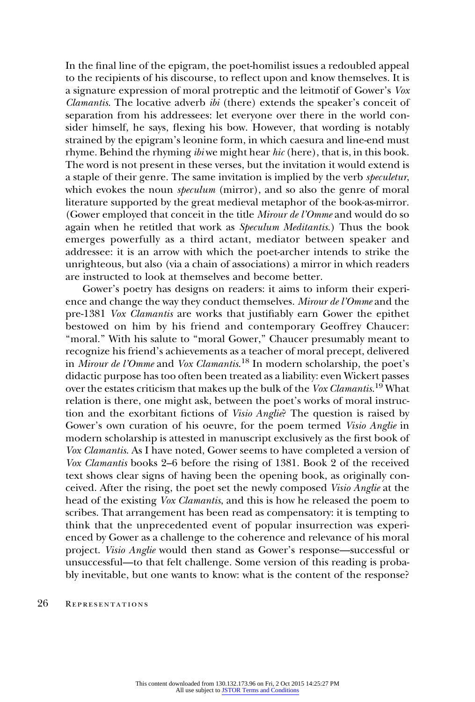In the final line of the epigram, the poet-homilist issues a redoubled appeal to the recipients of his discourse, to reflect upon and know themselves. It is a signature expression of moral protreptic and the leitmotif of Gower's Vox *Clamantis.* The locative adverb  $\ddot{b}i$  (there) extends the speaker's conceit of separation from his addressees: let everyone over there in the world consider himself, he says, flexing his bow. However, that wording is notably strained by the epigram's leonine form, in which caesura and line-end must rhyme. Behind the rhyming ibi we might hear hic (here), that is, in this book. The word is not present in these verses, but the invitation it would extend is a staple of their genre. The same invitation is implied by the verb speculetur, which evokes the noun *speculum* (mirror), and so also the genre of moral literature supported by the great medieval metaphor of the book-as-mirror. (Gower employed that conceit in the title Mirour de l'Omme and would do so again when he retitled that work as Speculum Meditantis.) Thus the book emerges powerfully as a third actant, mediator between speaker and addressee: it is an arrow with which the poet-archer intends to strike the unrighteous, but also (via a chain of associations) a mirror in which readers are instructed to look at themselves and become better.

Gower's poetry has designs on readers: it aims to inform their experience and change the way they conduct themselves. Mirour de l'Omme and the pre-1381 Vox Clamantis are works that justifiably earn Gower the epithet bestowed on him by his friend and contemporary Geoffrey Chaucer: "moral." With his salute to "moral Gower," Chaucer presumably meant to recognize his friend's achievements as a teacher of moral precept, delivered in Mirour de l'Omme and Vox Clamantis.<sup>18</sup> In modern scholarship, the poet's didactic purpose has too often been treated as a liability: even Wickert passes over the estates criticism that makes up the bulk of the Vox Clamantis.<sup>19</sup> What relation is there, one might ask, between the poet's works of moral instruction and the exorbitant fictions of Visio Anglie? The question is raised by Gower's own curation of his oeuvre, for the poem termed Visio Anglie in modern scholarship is attested in manuscript exclusively as the first book of Vox Clamantis. As I have noted, Gower seems to have completed a version of Vox Clamantis books 2–6 before the rising of 1381. Book 2 of the received text shows clear signs of having been the opening book, as originally conceived. After the rising, the poet set the newly composed Visio Anglie at the head of the existing Vox Clamantis, and this is how he released the poem to scribes. That arrangement has been read as compensatory: it is tempting to think that the unprecedented event of popular insurrection was experienced by Gower as a challenge to the coherence and relevance of his moral project. Visio Anglie would then stand as Gower's response—successful or unsuccessful—to that felt challenge. Some version of this reading is probably inevitable, but one wants to know: what is the content of the response?

#### 26 REPRESENTATIONS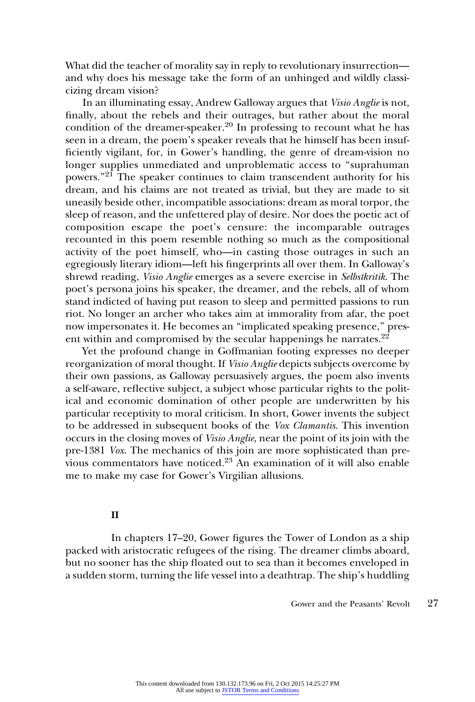What did the teacher of morality say in reply to revolutionary insurrection and why does his message take the form of an unhinged and wildly classicizing dream vision?

In an illuminating essay, Andrew Galloway argues that Visio Anglie is not, finally, about the rebels and their outrages, but rather about the moral condition of the dreamer-speaker.<sup>20</sup> In professing to recount what he has seen in a dream, the poem's speaker reveals that he himself has been insufficiently vigilant, for, in Gower's handling, the genre of dream-vision no longer supplies unmediated and unproblematic access to ''suprahuman powers."<sup>21</sup> The speaker continues to claim transcendent authority for his dream, and his claims are not treated as trivial, but they are made to sit uneasily beside other, incompatible associations: dream as moral torpor, the sleep of reason, and the unfettered play of desire. Nor does the poetic act of composition escape the poet's censure: the incomparable outrages recounted in this poem resemble nothing so much as the compositional activity of the poet himself, who—in casting those outrages in such an egregiously literary idiom—left his fingerprints all over them. In Galloway's shrewd reading, Visio Anglie emerges as a severe exercise in Selbstkritik. The poet's persona joins his speaker, the dreamer, and the rebels, all of whom stand indicted of having put reason to sleep and permitted passions to run riot. No longer an archer who takes aim at immorality from afar, the poet now impersonates it. He becomes an ''implicated speaking presence,'' present within and compromised by the secular happenings he narrates.<sup>22</sup>

Yet the profound change in Goffmanian footing expresses no deeper reorganization of moral thought. If Visio Anglie depicts subjects overcome by their own passions, as Galloway persuasively argues, the poem also invents a self-aware, reflective subject, a subject whose particular rights to the political and economic domination of other people are underwritten by his particular receptivity to moral criticism. In short, Gower invents the subject to be addressed in subsequent books of the Vox Clamantis. This invention occurs in the closing moves of Visio Anglie, near the point of its join with the pre-1381 Vox. The mechanics of this join are more sophisticated than previous commentators have noticed.<sup>23</sup> An examination of it will also enable me to make my case for Gower's Virgilian allusions.

## II

In chapters 17–20, Gower figures the Tower of London as a ship packed with aristocratic refugees of the rising. The dreamer climbs aboard, but no sooner has the ship floated out to sea than it becomes enveloped in a sudden storm, turning the life vessel into a deathtrap. The ship's huddling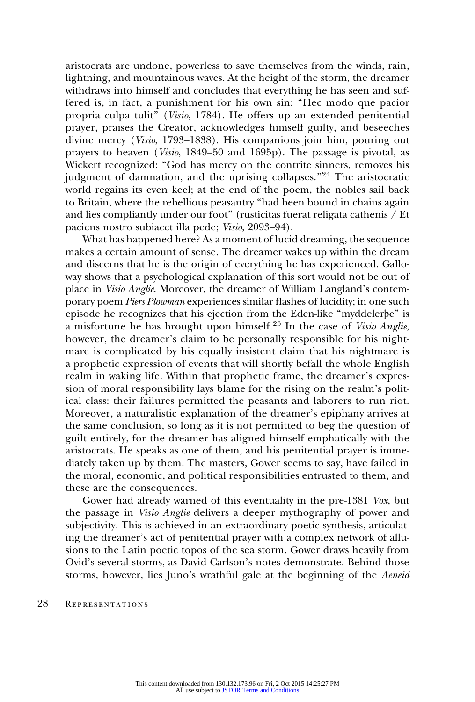aristocrats are undone, powerless to save themselves from the winds, rain, lightning, and mountainous waves. At the height of the storm, the dreamer withdraws into himself and concludes that everything he has seen and suffered is, in fact, a punishment for his own sin: ''Hec modo que pacior propria culpa tulit'' (Visio, 1784). He offers up an extended penitential prayer, praises the Creator, acknowledges himself guilty, and beseeches divine mercy (Visio, 1793–1838). His companions join him, pouring out prayers to heaven (Visio, 1849–50 and 1695p). The passage is pivotal, as Wickert recognized: "God has mercy on the contrite sinners, removes his judgment of damnation, and the uprising collapses."<sup>24</sup> The aristocratic world regains its even keel; at the end of the poem, the nobles sail back to Britain, where the rebellious peasantry ''had been bound in chains again and lies compliantly under our foot'' (rusticitas fuerat religata cathenis / Et paciens nostro subiacet illa pede; Visio, 2093–94).

What has happened here? As a moment of lucid dreaming, the sequence makes a certain amount of sense. The dreamer wakes up within the dream and discerns that he is the origin of everything he has experienced. Galloway shows that a psychological explanation of this sort would not be out of place in Visio Anglie. Moreover, the dreamer of William Langland's contemporary poem Piers Plowman experiences similar flashes of lucidity; in one such episode he recognizes that his ejection from the Eden-like ''myddelerþe'' is a misfortune he has brought upon himself.<sup>25</sup> In the case of *Visio Anglie*, however, the dreamer's claim to be personally responsible for his nightmare is complicated by his equally insistent claim that his nightmare is a prophetic expression of events that will shortly befall the whole English realm in waking life. Within that prophetic frame, the dreamer's expression of moral responsibility lays blame for the rising on the realm's political class: their failures permitted the peasants and laborers to run riot. Moreover, a naturalistic explanation of the dreamer's epiphany arrives at the same conclusion, so long as it is not permitted to beg the question of guilt entirely, for the dreamer has aligned himself emphatically with the aristocrats. He speaks as one of them, and his penitential prayer is immediately taken up by them. The masters, Gower seems to say, have failed in the moral, economic, and political responsibilities entrusted to them, and these are the consequences.

Gower had already warned of this eventuality in the pre-1381 Vox, but the passage in Visio Anglie delivers a deeper mythography of power and subjectivity. This is achieved in an extraordinary poetic synthesis, articulating the dreamer's act of penitential prayer with a complex network of allusions to the Latin poetic topos of the sea storm. Gower draws heavily from Ovid's several storms, as David Carlson's notes demonstrate. Behind those storms, however, lies Juno's wrathful gale at the beginning of the Aeneid

#### 28 REPRESENTATIONS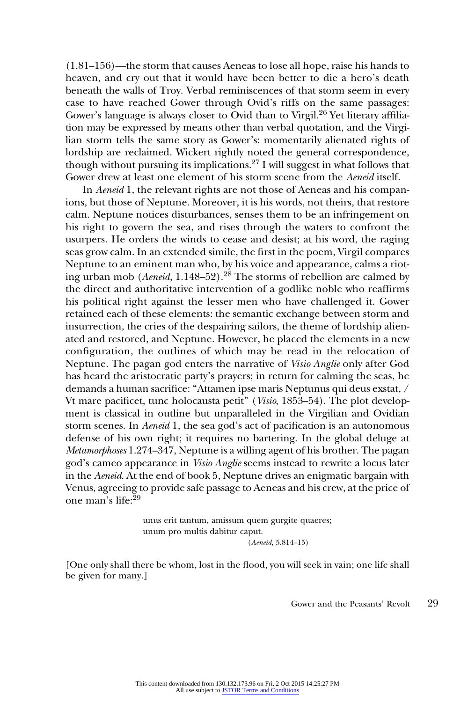(1.81–156)—the storm that causes Aeneas to lose all hope, raise his hands to heaven, and cry out that it would have been better to die a hero's death beneath the walls of Troy. Verbal reminiscences of that storm seem in every case to have reached Gower through Ovid's riffs on the same passages: Gower's language is always closer to Ovid than to Virgil.<sup>26</sup> Yet literary affiliation may be expressed by means other than verbal quotation, and the Virgilian storm tells the same story as Gower's: momentarily alienated rights of lordship are reclaimed. Wickert rightly noted the general correspondence, though without pursuing its implications.<sup>27</sup> I will suggest in what follows that Gower drew at least one element of his storm scene from the Aeneid itself.

In Aeneid 1, the relevant rights are not those of Aeneas and his companions, but those of Neptune. Moreover, it is his words, not theirs, that restore calm. Neptune notices disturbances, senses them to be an infringement on his right to govern the sea, and rises through the waters to confront the usurpers. He orders the winds to cease and desist; at his word, the raging seas grow calm. In an extended simile, the first in the poem, Virgil compares Neptune to an eminent man who, by his voice and appearance, calms a rioting urban mob (*Aeneid*, 1.148–52).<sup>28</sup> The storms of rebellion are calmed by the direct and authoritative intervention of a godlike noble who reaffirms his political right against the lesser men who have challenged it. Gower retained each of these elements: the semantic exchange between storm and insurrection, the cries of the despairing sailors, the theme of lordship alienated and restored, and Neptune. However, he placed the elements in a new configuration, the outlines of which may be read in the relocation of Neptune. The pagan god enters the narrative of Visio Anglie only after God has heard the aristocratic party's prayers; in return for calming the seas, he demands a human sacrifice: ''Attamen ipse maris Neptunus qui deus exstat, / Vt mare pacificet, tunc holocausta petit" (Visio, 1853–54). The plot development is classical in outline but unparalleled in the Virgilian and Ovidian storm scenes. In Aeneid 1, the sea god's act of pacification is an autonomous defense of his own right; it requires no bartering. In the global deluge at Metamorphoses 1.274–347, Neptune is a willing agent of his brother. The pagan god's cameo appearance in Visio Anglie seems instead to rewrite a locus later in the Aeneid. At the end of book 5, Neptune drives an enigmatic bargain with Venus, agreeing to provide safe passage to Aeneas and his crew, at the price of one man's life:<sup>29</sup>

> unus erit tantum, amissum quem gurgite quaeres; unum pro multis dabitur caput. (Aeneid, 5.814–15)

[One only shall there be whom, lost in the flood, you will seek in vain; one life shall be given for many.]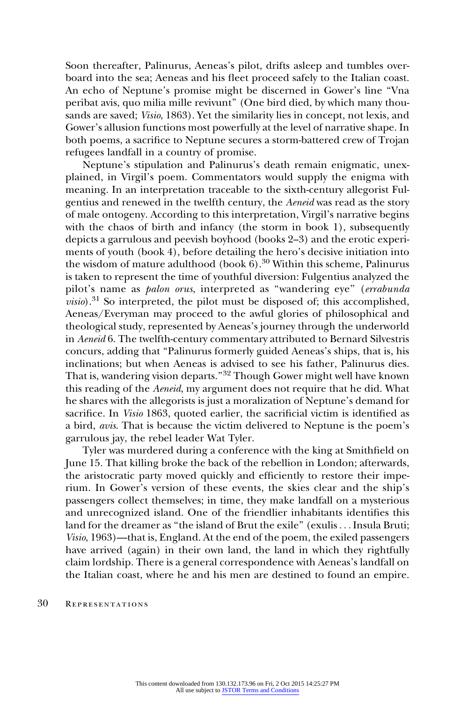Soon thereafter, Palinurus, Aeneas's pilot, drifts asleep and tumbles overboard into the sea; Aeneas and his fleet proceed safely to the Italian coast. An echo of Neptune's promise might be discerned in Gower's line ''Vna peribat avis, quo milia mille revivunt'' (One bird died, by which many thousands are saved; Visio, 1863). Yet the similarity lies in concept, not lexis, and Gower's allusion functions most powerfully at the level of narrative shape. In both poems, a sacrifice to Neptune secures a storm-battered crew of Trojan refugees landfall in a country of promise.

Neptune's stipulation and Palinurus's death remain enigmatic, unexplained, in Virgil's poem. Commentators would supply the enigma with meaning. In an interpretation traceable to the sixth-century allegorist Fulgentius and renewed in the twelfth century, the Aeneid was read as the story of male ontogeny. According to this interpretation, Virgil's narrative begins with the chaos of birth and infancy (the storm in book 1), subsequently depicts a garrulous and peevish boyhood (books 2–3) and the erotic experiments of youth (book 4), before detailing the hero's decisive initiation into the wisdom of mature adulthood (book  $6$ ).<sup>30</sup> Within this scheme, Palinurus is taken to represent the time of youthful diversion: Fulgentius analyzed the pilot's name as palon orus, interpreted as ''wandering eye'' (errabunda  $visio$ ).<sup>31</sup> So interpreted, the pilot must be disposed of; this accomplished, Aeneas/Everyman may proceed to the awful glories of philosophical and theological study, represented by Aeneas's journey through the underworld in Aeneid 6. The twelfth-century commentary attributed to Bernard Silvestris concurs, adding that ''Palinurus formerly guided Aeneas's ships, that is, his inclinations; but when Aeneas is advised to see his father, Palinurus dies. That is, wandering vision departs."<sup>32</sup> Though Gower might well have known this reading of the Aeneid, my argument does not require that he did. What he shares with the allegorists is just a moralization of Neptune's demand for sacrifice. In Visio 1863, quoted earlier, the sacrificial victim is identified as a bird, avis. That is because the victim delivered to Neptune is the poem's garrulous jay, the rebel leader Wat Tyler.

Tyler was murdered during a conference with the king at Smithfield on June 15. That killing broke the back of the rebellion in London; afterwards, the aristocratic party moved quickly and efficiently to restore their imperium. In Gower's version of these events, the skies clear and the ship's passengers collect themselves; in time, they make landfall on a mysterious and unrecognized island. One of the friendlier inhabitants identifies this land for the dreamer as "the island of Brut the exile" (exulis... Insula Bruti; Visio, 1963)—that is, England. At the end of the poem, the exiled passengers have arrived (again) in their own land, the land in which they rightfully claim lordship. There is a general correspondence with Aeneas's landfall on the Italian coast, where he and his men are destined to found an empire.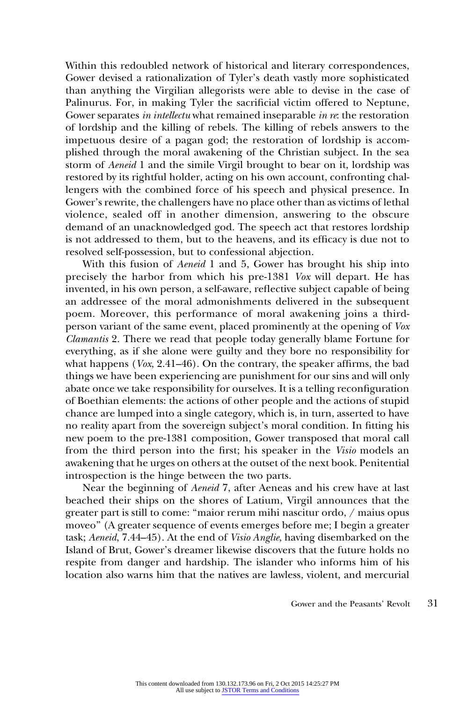Within this redoubled network of historical and literary correspondences, Gower devised a rationalization of Tyler's death vastly more sophisticated than anything the Virgilian allegorists were able to devise in the case of Palinurus. For, in making Tyler the sacrificial victim offered to Neptune, Gower separates *in intellectu* what remained inseparable *in re*: the restoration of lordship and the killing of rebels. The killing of rebels answers to the impetuous desire of a pagan god; the restoration of lordship is accomplished through the moral awakening of the Christian subject. In the sea storm of Aeneid 1 and the simile Virgil brought to bear on it, lordship was restored by its rightful holder, acting on his own account, confronting challengers with the combined force of his speech and physical presence. In Gower's rewrite, the challengers have no place other than as victims of lethal violence, sealed off in another dimension, answering to the obscure demand of an unacknowledged god. The speech act that restores lordship is not addressed to them, but to the heavens, and its efficacy is due not to resolved self-possession, but to confessional abjection.

With this fusion of Aeneid 1 and 5, Gower has brought his ship into precisely the harbor from which his pre-1381 Vox will depart. He has invented, in his own person, a self-aware, reflective subject capable of being an addressee of the moral admonishments delivered in the subsequent poem. Moreover, this performance of moral awakening joins a thirdperson variant of the same event, placed prominently at the opening of Vox Clamantis 2. There we read that people today generally blame Fortune for everything, as if she alone were guilty and they bore no responsibility for what happens (Vox, 2.41–46). On the contrary, the speaker affirms, the bad things we have been experiencing are punishment for our sins and will only abate once we take responsibility for ourselves. It is a telling reconfiguration of Boethian elements: the actions of other people and the actions of stupid chance are lumped into a single category, which is, in turn, asserted to have no reality apart from the sovereign subject's moral condition. In fitting his new poem to the pre-1381 composition, Gower transposed that moral call from the third person into the first; his speaker in the Visio models an awakening that he urges on others at the outset of the next book. Penitential introspection is the hinge between the two parts.

Near the beginning of Aeneid 7, after Aeneas and his crew have at last beached their ships on the shores of Latium, Virgil announces that the greater part is still to come: ''maior rerum mihi nascitur ordo, / maius opus moveo'' (A greater sequence of events emerges before me; I begin a greater task; Aeneid, 7.44-45). At the end of Visio Anglie, having disembarked on the Island of Brut, Gower's dreamer likewise discovers that the future holds no respite from danger and hardship. The islander who informs him of his location also warns him that the natives are lawless, violent, and mercurial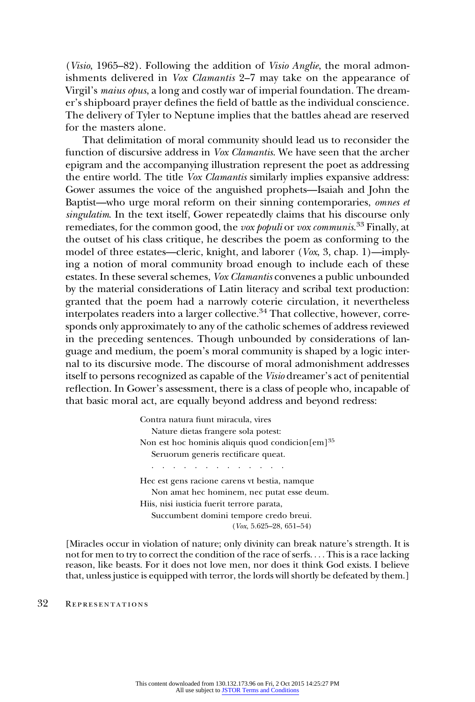(Visio, 1965–82). Following the addition of Visio Anglie, the moral admonishments delivered in Vox Clamantis 2–7 may take on the appearance of Virgil's maius opus, a long and costly war of imperial foundation. The dreamer's shipboard prayer defines the field of battle as the individual conscience. The delivery of Tyler to Neptune implies that the battles ahead are reserved for the masters alone.

That delimitation of moral community should lead us to reconsider the function of discursive address in Vox Clamantis. We have seen that the archer epigram and the accompanying illustration represent the poet as addressing the entire world. The title Vox Clamantis similarly implies expansive address: Gower assumes the voice of the anguished prophets—Isaiah and John the Baptist—who urge moral reform on their sinning contemporaries, omnes et singulatim. In the text itself, Gower repeatedly claims that his discourse only remediates, for the common good, the *vox populi* or *vox communis.*<sup>33</sup> Finally, at the outset of his class critique, he describes the poem as conforming to the model of three estates—cleric, knight, and laborer (Vox, 3, chap. 1)—implying a notion of moral community broad enough to include each of these estates. In these several schemes, Vox Clamantis convenes a public unbounded by the material considerations of Latin literacy and scribal text production: granted that the poem had a narrowly coterie circulation, it nevertheless  $\overline{\text{interpolates readers}}$  into a larger collective.<sup>34</sup> That collective, however, corresponds only approximately to any of the catholic schemes of address reviewed in the preceding sentences. Though unbounded by considerations of language and medium, the poem's moral community is shaped by a logic internal to its discursive mode. The discourse of moral admonishment addresses itself to persons recognized as capable of the Visio dreamer's act of penitential reflection. In Gower's assessment, there is a class of people who, incapable of that basic moral act, are equally beyond address and beyond redress:

> Contra natura fiunt miracula, vires Nature dietas frangere sola potest: Non est hoc hominis aliquis quod condicion $[em]^{35}$ Seruorum generis rectificare queat. ............. Hec est gens racione carens vt bestia, namque Non amat hec hominem, nec putat esse deum. Hiis, nisi iusticia fuerit terrore parata, Succumbent domini tempore credo breui. (Vox, 5.625–28, 651–54)

[Miracles occur in violation of nature; only divinity can break nature's strength. It is not for men to try to correct the condition of the race of serfs. ... This is a race lacking reason, like beasts. For it does not love men, nor does it think God exists. I believe that, unless justice is equipped with terror, the lords will shortly be defeated by them.]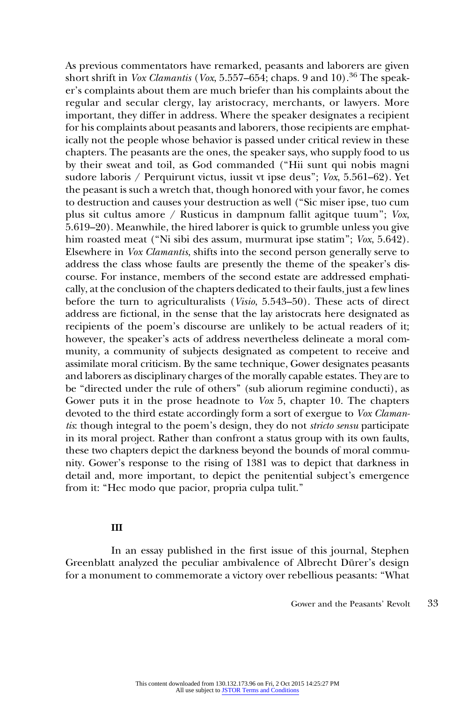As previous commentators have remarked, peasants and laborers are given short shrift in Vox Clamantis (Vox, 5.557–654; chaps. 9 and 10).<sup>36</sup> The speaker's complaints about them are much briefer than his complaints about the regular and secular clergy, lay aristocracy, merchants, or lawyers. More important, they differ in address. Where the speaker designates a recipient for his complaints about peasants and laborers, those recipients are emphatically not the people whose behavior is passed under critical review in these chapters. The peasants are the ones, the speaker says, who supply food to us by their sweat and toil, as God commanded (''Hii sunt qui nobis magni sudore laboris / Perquirunt victus, iussit vt ipse deus''; Vox, 5.561–62). Yet the peasant is such a wretch that, though honored with your favor, he comes to destruction and causes your destruction as well (''Sic miser ipse, tuo cum plus sit cultus amore / Rusticus in dampnum fallit agitque tuum''; Vox, 5.619–20). Meanwhile, the hired laborer is quick to grumble unless you give him roasted meat (''Ni sibi des assum, murmurat ipse statim''; Vox, 5.642). Elsewhere in Vox Clamantis, shifts into the second person generally serve to address the class whose faults are presently the theme of the speaker's discourse. For instance, members of the second estate are addressed emphatically, at the conclusion of the chapters dedicated to their faults, just a few lines before the turn to agriculturalists (Visio, 5.543–50). These acts of direct address are fictional, in the sense that the lay aristocrats here designated as recipients of the poem's discourse are unlikely to be actual readers of it; however, the speaker's acts of address nevertheless delineate a moral community, a community of subjects designated as competent to receive and assimilate moral criticism. By the same technique, Gower designates peasants and laborers as disciplinary charges of the morally capable estates. They are to be "directed under the rule of others" (sub aliorum regimine conducti), as Gower puts it in the prose headnote to Vox 5, chapter 10. The chapters devoted to the third estate accordingly form a sort of exergue to Vox Clamantis: though integral to the poem's design, they do not stricto sensu participate in its moral project. Rather than confront a status group with its own faults, these two chapters depict the darkness beyond the bounds of moral community. Gower's response to the rising of 1381 was to depict that darkness in detail and, more important, to depict the penitential subject's emergence from it: ''Hec modo que pacior, propria culpa tulit.''

## III

In an essay published in the first issue of this journal, Stephen Greenblatt analyzed the peculiar ambivalence of Albrecht Dürer's design for a monument to commemorate a victory over rebellious peasants: ''What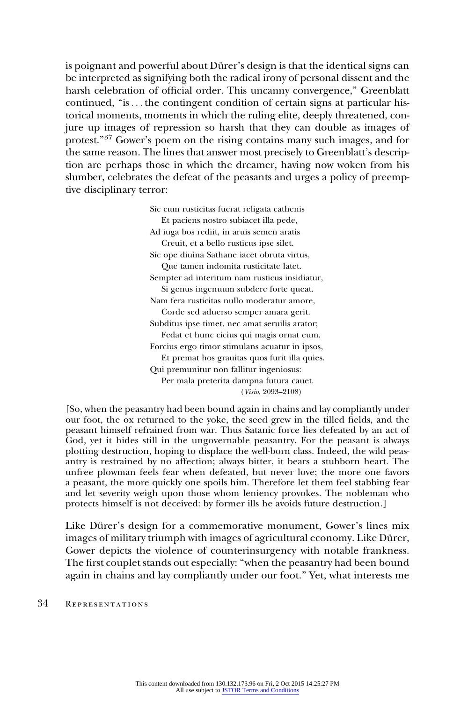is poignant and powerful about Dürer's design is that the identical signs can be interpreted as signifying both the radical irony of personal dissent and the harsh celebration of official order. This uncanny convergence,'' Greenblatt continued, "is... the contingent condition of certain signs at particular historical moments, moments in which the ruling elite, deeply threatened, conjure up images of repression so harsh that they can double as images of protest.''37 Gower's poem on the rising contains many such images, and for the same reason. The lines that answer most precisely to Greenblatt's description are perhaps those in which the dreamer, having now woken from his slumber, celebrates the defeat of the peasants and urges a policy of preemptive disciplinary terror:

> Sic cum rusticitas fuerat religata cathenis Et paciens nostro subiacet illa pede, Ad iuga bos rediit, in aruis semen aratis Creuit, et a bello rusticus ipse silet. Sic ope diuina Sathane iacet obruta virtus, Que tamen indomita rusticitate latet. Sempter ad interitum nam rusticus insidiatur, Si genus ingenuum subdere forte queat. Nam fera rusticitas nullo moderatur amore, Corde sed aduerso semper amara gerit. Subditus ipse timet, nec amat seruilis arator; Fedat et hunc cicius qui magis ornat eum. Forcius ergo timor stimulans acuatur in ipsos, Et premat hos grauitas quos furit illa quies. Qui premunitur non fallitur ingeniosus: Per mala preterita dampna futura cauet. (Visio, 2093–2108)

[So, when the peasantry had been bound again in chains and lay compliantly under our foot, the ox returned to the yoke, the seed grew in the tilled fields, and the peasant himself refrained from war. Thus Satanic force lies defeated by an act of God, yet it hides still in the ungovernable peasantry. For the peasant is always plotting destruction, hoping to displace the well-born class. Indeed, the wild peasantry is restrained by no affection; always bitter, it bears a stubborn heart. The unfree plowman feels fear when defeated, but never love; the more one favors a peasant, the more quickly one spoils him. Therefore let them feel stabbing fear and let severity weigh upon those whom leniency provokes. The nobleman who protects himself is not deceived: by former ills he avoids future destruction.]

Like Dürer's design for a commemorative monument, Gower's lines mix images of military triumph with images of agricultural economy. Like Dürer, Gower depicts the violence of counterinsurgency with notable frankness. The first couplet stands out especially: ''when the peasantry had been bound again in chains and lay compliantly under our foot.'' Yet, what interests me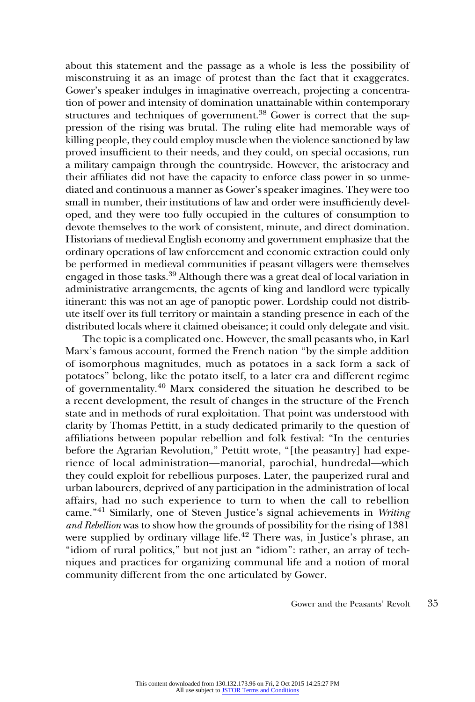about this statement and the passage as a whole is less the possibility of misconstruing it as an image of protest than the fact that it exaggerates. Gower's speaker indulges in imaginative overreach, projecting a concentration of power and intensity of domination unattainable within contemporary structures and techniques of government.<sup>38</sup> Gower is correct that the suppression of the rising was brutal. The ruling elite had memorable ways of killing people, they could employ muscle when the violence sanctioned by law proved insufficient to their needs, and they could, on special occasions, run a military campaign through the countryside. However, the aristocracy and their affiliates did not have the capacity to enforce class power in so unmediated and continuous a manner as Gower's speaker imagines. They were too small in number, their institutions of law and order were insufficiently developed, and they were too fully occupied in the cultures of consumption to devote themselves to the work of consistent, minute, and direct domination. Historians of medieval English economy and government emphasize that the ordinary operations of law enforcement and economic extraction could only be performed in medieval communities if peasant villagers were themselves engaged in those tasks.39 Although there was a great deal of local variation in administrative arrangements, the agents of king and landlord were typically itinerant: this was not an age of panoptic power. Lordship could not distribute itself over its full territory or maintain a standing presence in each of the distributed locals where it claimed obeisance; it could only delegate and visit.

The topic is a complicated one. However, the small peasants who, in Karl Marx's famous account, formed the French nation ''by the simple addition of isomorphous magnitudes, much as potatoes in a sack form a sack of potatoes'' belong, like the potato itself, to a later era and different regime of governmentality.<sup>40</sup> Marx considered the situation he described to be a recent development, the result of changes in the structure of the French state and in methods of rural exploitation. That point was understood with clarity by Thomas Pettitt, in a study dedicated primarily to the question of affiliations between popular rebellion and folk festival: ''In the centuries before the Agrarian Revolution," Pettitt wrote, "[the peasantry] had experience of local administration—manorial, parochial, hundredal—which they could exploit for rebellious purposes. Later, the pauperized rural and urban labourers, deprived of any participation in the administration of local affairs, had no such experience to turn to when the call to rebellion came."<sup>41</sup> Similarly, one of Steven Justice's signal achievements in Writing and Rebellion was to show how the grounds of possibility for the rising of 1381 were supplied by ordinary village life.<sup>42</sup> There was, in Justice's phrase, an "idiom of rural politics," but not just an "idiom": rather, an array of techniques and practices for organizing communal life and a notion of moral community different from the one articulated by Gower.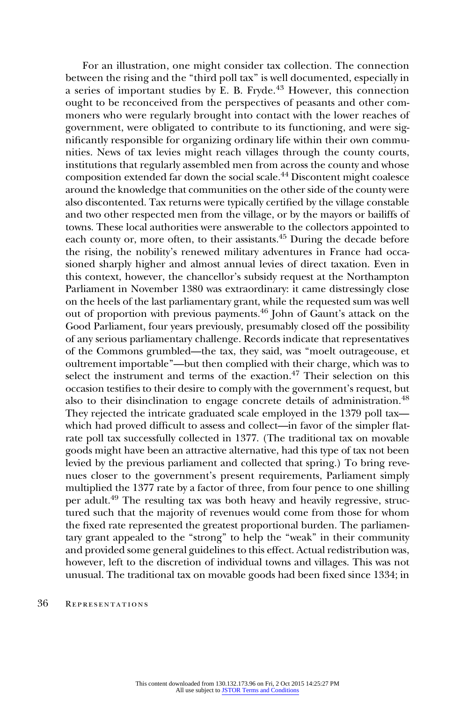For an illustration, one might consider tax collection. The connection between the rising and the ''third poll tax'' is well documented, especially in a series of important studies by E. B. Fryde. $43$  However, this connection ought to be reconceived from the perspectives of peasants and other commoners who were regularly brought into contact with the lower reaches of government, were obligated to contribute to its functioning, and were significantly responsible for organizing ordinary life within their own communities. News of tax levies might reach villages through the county courts, institutions that regularly assembled men from across the county and whose composition extended far down the social scale.44 Discontent might coalesce around the knowledge that communities on the other side of the county were also discontented. Tax returns were typically certified by the village constable and two other respected men from the village, or by the mayors or bailiffs of towns. These local authorities were answerable to the collectors appointed to each county or, more often, to their assistants.<sup>45</sup> During the decade before the rising, the nobility's renewed military adventures in France had occasioned sharply higher and almost annual levies of direct taxation. Even in this context, however, the chancellor's subsidy request at the Northampton Parliament in November 1380 was extraordinary: it came distressingly close on the heels of the last parliamentary grant, while the requested sum was well out of proportion with previous payments.46 John of Gaunt's attack on the Good Parliament, four years previously, presumably closed off the possibility of any serious parliamentary challenge. Records indicate that representatives of the Commons grumbled—the tax, they said, was ''moelt outrageouse, et oultrement importable''—but then complied with their charge, which was to select the instrument and terms of the exaction. $47$  Their selection on this occasion testifies to their desire to comply with the government's request, but also to their disinclination to engage concrete details of administration.<sup>48</sup> They rejected the intricate graduated scale employed in the 1379 poll tax which had proved difficult to assess and collect—in favor of the simpler flatrate poll tax successfully collected in 1377. (The traditional tax on movable goods might have been an attractive alternative, had this type of tax not been levied by the previous parliament and collected that spring.) To bring revenues closer to the government's present requirements, Parliament simply multiplied the 1377 rate by a factor of three, from four pence to one shilling per adult.49 The resulting tax was both heavy and heavily regressive, structured such that the majority of revenues would come from those for whom the fixed rate represented the greatest proportional burden. The parliamentary grant appealed to the "strong" to help the "weak" in their community and provided some general guidelines to this effect. Actual redistribution was, however, left to the discretion of individual towns and villages. This was not unusual. The traditional tax on movable goods had been fixed since 1334; in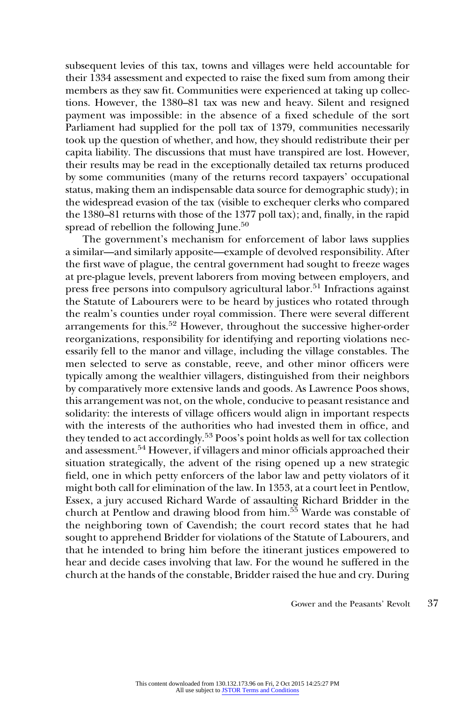subsequent levies of this tax, towns and villages were held accountable for their 1334 assessment and expected to raise the fixed sum from among their members as they saw fit. Communities were experienced at taking up collections. However, the 1380–81 tax was new and heavy. Silent and resigned payment was impossible: in the absence of a fixed schedule of the sort Parliament had supplied for the poll tax of 1379, communities necessarily took up the question of whether, and how, they should redistribute their per capita liability. The discussions that must have transpired are lost. However, their results may be read in the exceptionally detailed tax returns produced by some communities (many of the returns record taxpayers' occupational status, making them an indispensable data source for demographic study); in the widespread evasion of the tax (visible to exchequer clerks who compared the 1380–81 returns with those of the 1377 poll tax); and, finally, in the rapid spread of rebellion the following June.<sup>50</sup>

The government's mechanism for enforcement of labor laws supplies a similar—and similarly apposite—example of devolved responsibility. After the first wave of plague, the central government had sought to freeze wages at pre-plague levels, prevent laborers from moving between employers, and press free persons into compulsory agricultural labor.<sup>51</sup> Infractions against the Statute of Labourers were to be heard by justices who rotated through the realm's counties under royal commission. There were several different arrangements for this.<sup>52</sup> However, throughout the successive higher-order reorganizations, responsibility for identifying and reporting violations necessarily fell to the manor and village, including the village constables. The men selected to serve as constable, reeve, and other minor officers were typically among the wealthier villagers, distinguished from their neighbors by comparatively more extensive lands and goods. As Lawrence Poos shows, this arrangement was not, on the whole, conducive to peasant resistance and solidarity: the interests of village officers would align in important respects with the interests of the authorities who had invested them in office, and they tended to act accordingly.<sup>53</sup> Poos's point holds as well for tax collection and assessment.<sup>54</sup> However, if villagers and minor officials approached their situation strategically, the advent of the rising opened up a new strategic field, one in which petty enforcers of the labor law and petty violators of it might both call for elimination of the law. In 1353, at a court leet in Pentlow, Essex, a jury accused Richard Warde of assaulting Richard Bridder in the church at Pentlow and drawing blood from him.<sup>55</sup> Warde was constable of the neighboring town of Cavendish; the court record states that he had sought to apprehend Bridder for violations of the Statute of Labourers, and that he intended to bring him before the itinerant justices empowered to hear and decide cases involving that law. For the wound he suffered in the church at the hands of the constable, Bridder raised the hue and cry. During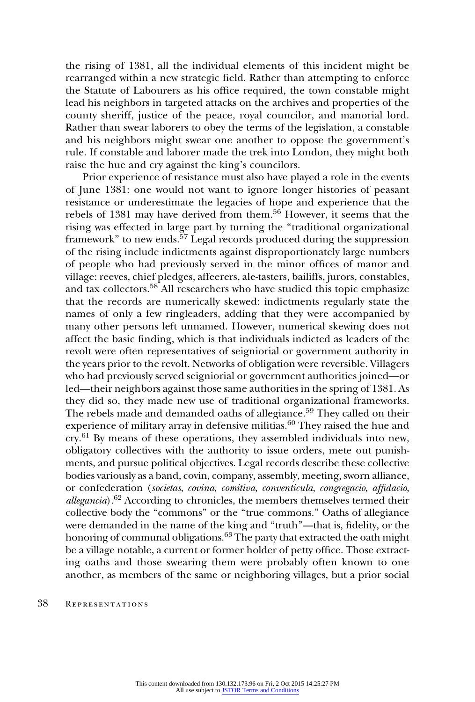the rising of 1381, all the individual elements of this incident might be rearranged within a new strategic field. Rather than attempting to enforce the Statute of Labourers as his office required, the town constable might lead his neighbors in targeted attacks on the archives and properties of the county sheriff, justice of the peace, royal councilor, and manorial lord. Rather than swear laborers to obey the terms of the legislation, a constable and his neighbors might swear one another to oppose the government's rule. If constable and laborer made the trek into London, they might both raise the hue and cry against the king's councilors.

Prior experience of resistance must also have played a role in the events of June 1381: one would not want to ignore longer histories of peasant resistance or underestimate the legacies of hope and experience that the rebels of 1381 may have derived from them.<sup>56</sup> However, it seems that the rising was effected in large part by turning the ''traditional organizational framework" to new ends.<sup>57</sup> Legal records produced during the suppression of the rising include indictments against disproportionately large numbers of people who had previously served in the minor offices of manor and village: reeves, chief pledges, affeerers, ale-tasters, bailiffs, jurors, constables, and tax collectors.<sup>58</sup> All researchers who have studied this topic emphasize that the records are numerically skewed: indictments regularly state the names of only a few ringleaders, adding that they were accompanied by many other persons left unnamed. However, numerical skewing does not affect the basic finding, which is that individuals indicted as leaders of the revolt were often representatives of seigniorial or government authority in the years prior to the revolt. Networks of obligation were reversible. Villagers who had previously served seigniorial or government authorities joined—or led—their neighbors against those same authorities in the spring of 1381. As they did so, they made new use of traditional organizational frameworks. The rebels made and demanded oaths of allegiance.<sup>59</sup> They called on their experience of military array in defensive militias.<sup>60</sup> They raised the hue and cry.<sup>61</sup> By means of these operations, they assembled individuals into new, obligatory collectives with the authority to issue orders, mete out punishments, and pursue political objectives. Legal records describe these collective bodies variously as a band, covin, company, assembly, meeting, sworn alliance, or confederation (societas, covina, comitiva, conventicula, congregacio, affidacio,  $allegancia$ ).<sup>62</sup> According to chronicles, the members themselves termed their collective body the ''commons'' or the ''true commons.'' Oaths of allegiance were demanded in the name of the king and "truth"—that is, fidelity, or the honoring of communal obligations.<sup>63</sup> The party that extracted the oath might be a village notable, a current or former holder of petty office. Those extracting oaths and those swearing them were probably often known to one another, as members of the same or neighboring villages, but a prior social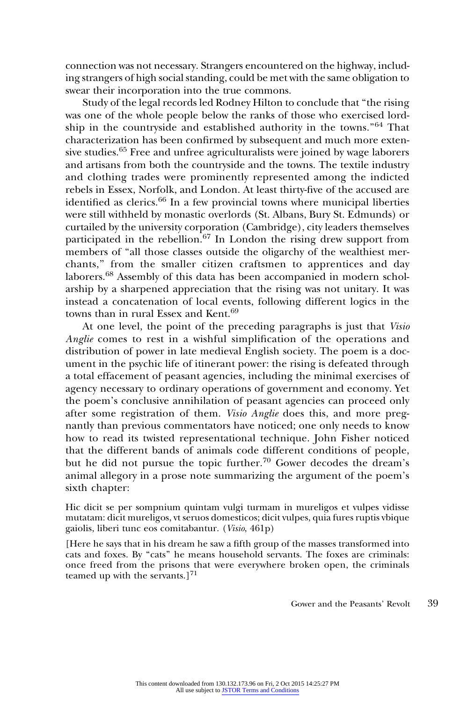connection was not necessary. Strangers encountered on the highway, including strangers of high social standing, could be met with the same obligation to swear their incorporation into the true commons.

Study of the legal records led Rodney Hilton to conclude that ''the rising was one of the whole people below the ranks of those who exercised lordship in the countryside and established authority in the towns.''<sup>64</sup> That characterization has been confirmed by subsequent and much more extensive studies.<sup>65</sup> Free and unfree agriculturalists were joined by wage laborers and artisans from both the countryside and the towns. The textile industry and clothing trades were prominently represented among the indicted rebels in Essex, Norfolk, and London. At least thirty-five of the accused are identified as clerics.<sup>66</sup> In a few provincial towns where municipal liberties were still withheld by monastic overlords (St. Albans, Bury St. Edmunds) or curtailed by the university corporation (Cambridge), city leaders themselves participated in the rebellion.<sup>67</sup> In London the rising drew support from members of ''all those classes outside the oligarchy of the wealthiest merchants,'' from the smaller citizen craftsmen to apprentices and day laborers.68 Assembly of this data has been accompanied in modern scholarship by a sharpened appreciation that the rising was not unitary. It was instead a concatenation of local events, following different logics in the towns than in rural Essex and Kent.<sup>69</sup>

At one level, the point of the preceding paragraphs is just that Visio Anglie comes to rest in a wishful simplification of the operations and distribution of power in late medieval English society. The poem is a document in the psychic life of itinerant power: the rising is defeated through a total effacement of peasant agencies, including the minimal exercises of agency necessary to ordinary operations of government and economy. Yet the poem's conclusive annihilation of peasant agencies can proceed only after some registration of them. Visio Anglie does this, and more pregnantly than previous commentators have noticed; one only needs to know how to read its twisted representational technique. John Fisher noticed that the different bands of animals code different conditions of people, but he did not pursue the topic further.<sup>70</sup> Gower decodes the dream's animal allegory in a prose note summarizing the argument of the poem's sixth chapter:

Hic dicit se per sompnium quintam vulgi turmam in mureligos et vulpes vidisse mutatam: dicit mureligos, vt seruos domesticos; dicit vulpes, quia fures ruptis vbique gaiolis, liberi tunc eos comitabantur. (Visio, 461p)

[Here he says that in his dream he saw a fifth group of the masses transformed into cats and foxes. By ''cats'' he means household servants. The foxes are criminals: once freed from the prisons that were everywhere broken open, the criminals teamed up with the servants.] $^{71}$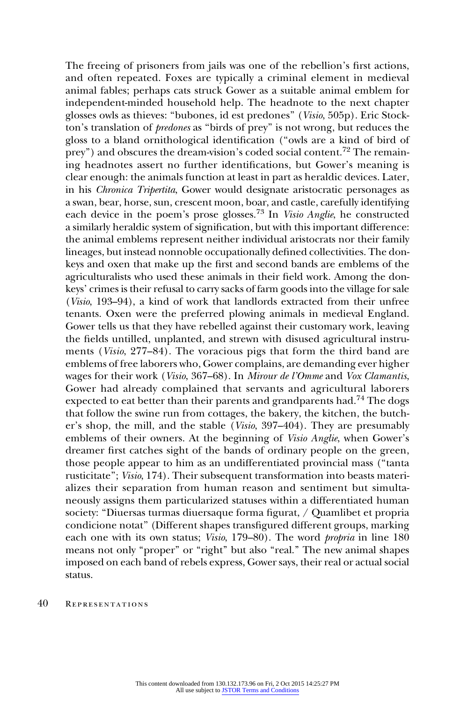The freeing of prisoners from jails was one of the rebellion's first actions, and often repeated. Foxes are typically a criminal element in medieval animal fables; perhaps cats struck Gower as a suitable animal emblem for independent-minded household help. The headnote to the next chapter glosses owls as thieves: ''bubones, id est predones'' (Visio, 505p). Eric Stockton's translation of predones as ''birds of prey'' is not wrong, but reduces the gloss to a bland ornithological identification (''owls are a kind of bird of prey") and obscures the dream-vision's coded social content.<sup>72</sup> The remaining headnotes assert no further identifications, but Gower's meaning is clear enough: the animals function at least in part as heraldic devices. Later, in his Chronica Tripertita, Gower would designate aristocratic personages as a swan, bear, horse, sun, crescent moon, boar, and castle, carefully identifying each device in the poem's prose glosses.73 In Visio Anglie, he constructed a similarly heraldic system of signification, but with this important difference: the animal emblems represent neither individual aristocrats nor their family lineages, but instead nonnoble occupationally defined collectivities. The donkeys and oxen that make up the first and second bands are emblems of the agriculturalists who used these animals in their field work. Among the donkeys' crimes is their refusal to carry sacks of farm goods into the village for sale (Visio, 193–94), a kind of work that landlords extracted from their unfree tenants. Oxen were the preferred plowing animals in medieval England. Gower tells us that they have rebelled against their customary work, leaving the fields untilled, unplanted, and strewn with disused agricultural instruments (Visio, 277–84). The voracious pigs that form the third band are emblems of free laborers who, Gower complains, are demanding ever higher wages for their work (Visio, 367–68). In Mirour de l'Omme and Vox Clamantis, Gower had already complained that servants and agricultural laborers expected to eat better than their parents and grandparents had.<sup>74</sup> The dogs that follow the swine run from cottages, the bakery, the kitchen, the butcher's shop, the mill, and the stable (Visio, 397–404). They are presumably emblems of their owners. At the beginning of Visio Anglie, when Gower's dreamer first catches sight of the bands of ordinary people on the green, those people appear to him as an undifferentiated provincial mass (''tanta rusticitate''; Visio, 174). Their subsequent transformation into beasts materializes their separation from human reason and sentiment but simultaneously assigns them particularized statuses within a differentiated human society: "Diuersas turmas diuersaque forma figurat, / Quamlibet et propria condicione notat'' (Different shapes transfigured different groups, marking each one with its own status; *Visio*, 179–80). The word *propria* in line 180 means not only "proper" or "right" but also "real." The new animal shapes imposed on each band of rebels express, Gower says, their real or actual social status.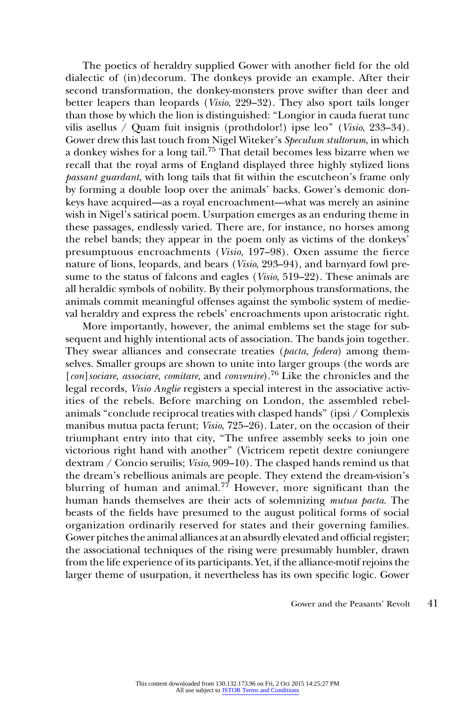The poetics of heraldry supplied Gower with another field for the old dialectic of (in)decorum. The donkeys provide an example. After their second transformation, the donkey-monsters prove swifter than deer and better leapers than leopards (Visio, 229–32). They also sport tails longer than those by which the lion is distinguished: ''Longior in cauda fuerat tunc vilis asellus / Quam fuit insignis (prothdolor!) ipse leo'' (Visio, 233–34). Gower drew this last touch from Nigel Witeker's Speculum stultorum, in which a donkey wishes for a long tail.<sup>75</sup> That detail becomes less bizarre when we recall that the royal arms of England displayed three highly stylized lions passant guardant, with long tails that fit within the escutcheon's frame only by forming a double loop over the animals' backs. Gower's demonic donkeys have acquired—as a royal encroachment—what was merely an asinine wish in Nigel's satirical poem. Usurpation emerges as an enduring theme in these passages, endlessly varied. There are, for instance, no horses among the rebel bands; they appear in the poem only as victims of the donkeys' presumptuous encroachments (Visio, 197–98). Oxen assume the fierce nature of lions, leopards, and bears (Visio, 293–94), and barnyard fowl presume to the status of falcons and eagles (*Visio*, 519–22). These animals are all heraldic symbols of nobility. By their polymorphous transformations, the animals commit meaningful offenses against the symbolic system of medieval heraldry and express the rebels' encroachments upon aristocratic right.

More importantly, however, the animal emblems set the stage for subsequent and highly intentional acts of association. The bands join together. They swear alliances and consecrate treaties (pacta, federa) among themselves. Smaller groups are shown to unite into larger groups (the words are [con] sociare, associare, comitare, and convenire).<sup>76</sup> Like the chronicles and the legal records, Visio Anglie registers a special interest in the associative activities of the rebels. Before marching on London, the assembled rebelanimals ''conclude reciprocal treaties with clasped hands'' (ipsi / Complexis manibus mutua pacta ferunt; Visio, 725–26). Later, on the occasion of their triumphant entry into that city, ''The unfree assembly seeks to join one victorious right hand with another'' (Victricem repetit dextre coniungere dextram / Concio seruilis; Visio, 909–10). The clasped hands remind us that the dream's rebellious animals are people. They extend the dream-vision's blurring of human and animal.<sup>77</sup> However, more significant than the human hands themselves are their acts of solemnizing mutua pacta. The beasts of the fields have presumed to the august political forms of social organization ordinarily reserved for states and their governing families. Gower pitches the animal alliances at an absurdly elevated and official register; the associational techniques of the rising were presumably humbler, drawn from the life experience of its participants. Yet, if the alliance-motif rejoins the larger theme of usurpation, it nevertheless has its own specific logic. Gower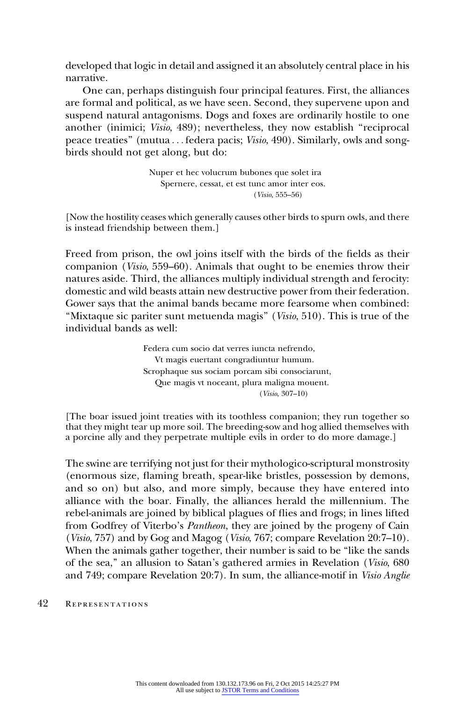developed that logic in detail and assigned it an absolutely central place in his narrative.

One can, perhaps distinguish four principal features. First, the alliances are formal and political, as we have seen. Second, they supervene upon and suspend natural antagonisms. Dogs and foxes are ordinarily hostile to one another (inimici; Visio, 489); nevertheless, they now establish ''reciprocal peace treaties'' (mutua ... federa pacis; Visio, 490). Similarly, owls and songbirds should not get along, but do:

> Nuper et hec volucrum bubones que solet ira Spernere, cessat, et est tunc amor inter eos. (Visio, 555–56)

[Now the hostility ceases which generally causes other birds to spurn owls, and there is instead friendship between them.]

Freed from prison, the owl joins itself with the birds of the fields as their companion (Visio, 559–60). Animals that ought to be enemies throw their natures aside. Third, the alliances multiply individual strength and ferocity: domestic and wild beasts attain new destructive power from their federation. Gower says that the animal bands became more fearsome when combined: "Mixtaque sic pariter sunt metuenda magis" (Visio, 510). This is true of the individual bands as well:

> Federa cum socio dat verres iuncta nefrendo, Vt magis euertant congradiuntur humum. Scrophaque sus sociam porcam sibi consociarunt, Que magis vt noceant, plura maligna mouent. (Visio, 307–10)

[The boar issued joint treaties with its toothless companion; they run together so that they might tear up more soil. The breeding-sow and hog allied themselves with a porcine ally and they perpetrate multiple evils in order to do more damage.]

The swine are terrifying not just for their mythologico-scriptural monstrosity (enormous size, flaming breath, spear-like bristles, possession by demons, and so on) but also, and more simply, because they have entered into alliance with the boar. Finally, the alliances herald the millennium. The rebel-animals are joined by biblical plagues of flies and frogs; in lines lifted from Godfrey of Viterbo's Pantheon, they are joined by the progeny of Cain (Visio, 757) and by Gog and Magog (Visio, 767; compare Revelation 20:7–10). When the animals gather together, their number is said to be "like the sands" of the sea,'' an allusion to Satan's gathered armies in Revelation (Visio, 680 and 749; compare Revelation 20:7). In sum, the alliance-motif in Visio Anglie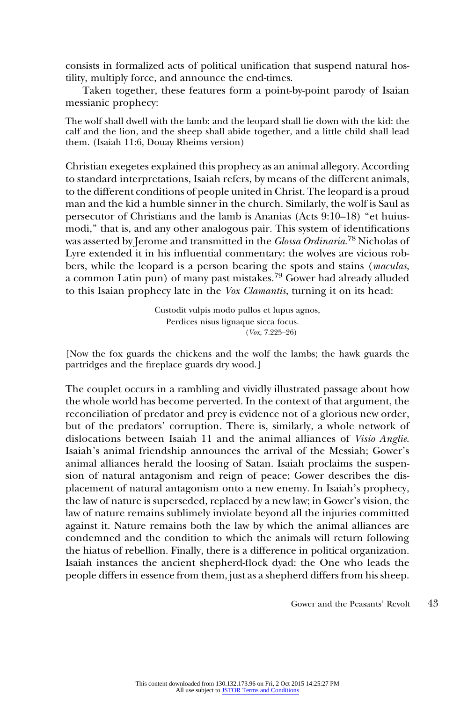consists in formalized acts of political unification that suspend natural hostility, multiply force, and announce the end-times.

Taken together, these features form a point-by-point parody of Isaian messianic prophecy:

The wolf shall dwell with the lamb: and the leopard shall lie down with the kid: the calf and the lion, and the sheep shall abide together, and a little child shall lead them. (Isaiah 11:6, Douay Rheims version)

Christian exegetes explained this prophecy as an animal allegory. According to standard interpretations, Isaiah refers, by means of the different animals, to the different conditions of people united in Christ. The leopard is a proud man and the kid a humble sinner in the church. Similarly, the wolf is Saul as persecutor of Christians and the lamb is Ananias (Acts 9:10–18) ''et huiusmodi,'' that is, and any other analogous pair. This system of identifications was asserted by Jerome and transmitted in the *Glossa Ordinaria.<sup>78</sup> N*icholas of Lyre extended it in his influential commentary: the wolves are vicious robbers, while the leopard is a person bearing the spots and stains (maculas, a common Latin pun) of many past mistakes.<sup>79</sup> Gower had already alluded to this Isaian prophecy late in the Vox Clamantis, turning it on its head:

> Custodit vulpis modo pullos et lupus agnos, Perdices nisus lignaque sicca focus. (Vox, 7.225–26)

[Now the fox guards the chickens and the wolf the lambs; the hawk guards the partridges and the fireplace guards dry wood.]

The couplet occurs in a rambling and vividly illustrated passage about how the whole world has become perverted. In the context of that argument, the reconciliation of predator and prey is evidence not of a glorious new order, but of the predators' corruption. There is, similarly, a whole network of dislocations between Isaiah 11 and the animal alliances of Visio Anglie. Isaiah's animal friendship announces the arrival of the Messiah; Gower's animal alliances herald the loosing of Satan. Isaiah proclaims the suspension of natural antagonism and reign of peace; Gower describes the displacement of natural antagonism onto a new enemy. In Isaiah's prophecy, the law of nature is superseded, replaced by a new law; in Gower's vision, the law of nature remains sublimely inviolate beyond all the injuries committed against it. Nature remains both the law by which the animal alliances are condemned and the condition to which the animals will return following the hiatus of rebellion. Finally, there is a difference in political organization. Isaiah instances the ancient shepherd-flock dyad: the One who leads the people differs in essence from them, just as a shepherd differs from his sheep.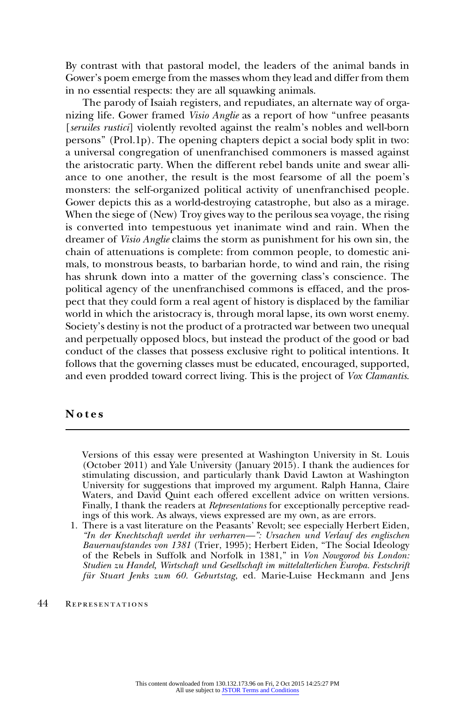By contrast with that pastoral model, the leaders of the animal bands in Gower's poem emerge from the masses whom they lead and differ from them in no essential respects: they are all squawking animals.

The parody of Isaiah registers, and repudiates, an alternate way of organizing life. Gower framed *Visio Anglie* as a report of how "unfree peasants" [seruiles rustici] violently revolted against the realm's nobles and well-born persons'' (Prol.1p). The opening chapters depict a social body split in two: a universal congregation of unenfranchised commoners is massed against the aristocratic party. When the different rebel bands unite and swear alliance to one another, the result is the most fearsome of all the poem's monsters: the self-organized political activity of unenfranchised people. Gower depicts this as a world-destroying catastrophe, but also as a mirage. When the siege of (New) Troy gives way to the perilous sea voyage, the rising is converted into tempestuous yet inanimate wind and rain. When the dreamer of Visio Anglie claims the storm as punishment for his own sin, the chain of attenuations is complete: from common people, to domestic animals, to monstrous beasts, to barbarian horde, to wind and rain, the rising has shrunk down into a matter of the governing class's conscience. The political agency of the unenfranchised commons is effaced, and the prospect that they could form a real agent of history is displaced by the familiar world in which the aristocracy is, through moral lapse, its own worst enemy. Society's destiny is not the product of a protracted war between two unequal and perpetually opposed blocs, but instead the product of the good or bad conduct of the classes that possess exclusive right to political intentions. It follows that the governing classes must be educated, encouraged, supported, and even prodded toward correct living. This is the project of Vox Clamantis.

## Notes

Versions of this essay were presented at Washington University in St. Louis (October 2011) and Yale University (January 2015). I thank the audiences for stimulating discussion, and particularly thank David Lawton at Washington University for suggestions that improved my argument. Ralph Hanna, Claire Waters, and David Quint each offered excellent advice on written versions. Finally, I thank the readers at Representations for exceptionally perceptive readings of this work. As always, views expressed are my own, as are errors.

<sup>1.</sup> There is a vast literature on the Peasants' Revolt; see especially Herbert Eiden, ''In der Knechtschaft werdet ihr verharren—'': Ursachen und Verlauf des englischen Bauernaufstandes von 1381 (Trier, 1995); Herbert Eiden, "The Social Ideology of the Rebels in Suffolk and Norfolk in 1381," in Von Nowgorod bis London: Studien zu Handel, Wirtschaft und Gesellschaft im mittelalterlichen Europa. Festschrift für Stuart Jenks zum 60. Geburtstag, ed. Marie-Luise Heckmann and Jens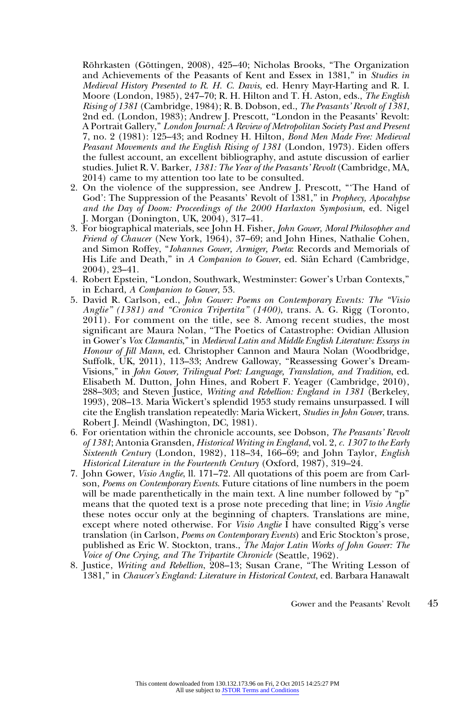Röhrkasten (Göttingen, 2008), 425–40; Nicholas Brooks, "The Organization and Achievements of the Peasants of Kent and Essex in 1381," in Studies in Medieval History Presented to R. H. C. Davis, ed. Henry Mayr-Harting and R. I. Moore (London, 1985), 247–70; R. H. Hilton and T. H. Aston, eds., The English Rising of 1381 (Cambridge, 1984); R. B. Dobson, ed., The Peasants' Revolt of 1381, 2nd ed. (London, 1983); Andrew J. Prescott, ''London in the Peasants' Revolt: A Portrait Gallery,'' London Journal: A Review of Metropolitan Society Past and Present 7, no. 2 (1981): 125–43; and Rodney H. Hilton, Bond Men Made Free: Medieval Peasant Movements and the English Rising of 1381 (London, 1973). Eiden offers the fullest account, an excellent bibliography, and astute discussion of earlier studies. Juliet R. V. Barker, 1381: The Year of the Peasants' Revolt (Cambridge, MA, 2014) came to my attention too late to be consulted.

- 2. On the violence of the suppression, see Andrew J. Prescott, '''The Hand of God': The Suppression of the Peasants' Revolt of 1381," in *Prophecy*, *Apocalypse* and the Day of Doom: Proceedings of the 2000 Harlaxton Symposium, ed. Nigel J. Morgan (Donington, UK, 2004), 317–41.
- 3. For biographical materials, see John H. Fisher, John Gower, Moral Philosopher and Friend of Chaucer (New York, 1964), 37–69; and John Hines, Nathalie Cohen, and Simon Roffey, ''Iohannes Gower, Armiger, Poeta: Records and Memorials of His Life and Death," in A Companion to Gower, ed. Siân Echard (Cambridge, 2004), 23–41.
- 4. Robert Epstein, ''London, Southwark, Westminster: Gower's Urban Contexts,'' in Echard, A Companion to Gower, 53.
- 5. David R. Carlson, ed., John Gower: Poems on Contemporary Events: The ''Visio Anglie" (1381) and "Cronica Tripertita" (1400), trans. A. G. Rigg (Toronto, 2011). For comment on the title, see 8. Among recent studies, the most significant are Maura Nolan, ''The Poetics of Catastrophe: Ovidian Allusion in Gower's Vox Clamantis,'' in Medieval Latin and Middle English Literature: Essays in Honour of Jill Mann, ed. Christopher Cannon and Maura Nolan (Woodbridge, Suffolk, UK, 2011), 113–33; Andrew Galloway, ''Reassessing Gower's Dream-Visions,'' in John Gower, Trilingual Poet: Language, Translation, and Tradition, ed. Elisabeth M. Dutton, John Hines, and Robert F. Yeager (Cambridge, 2010), 288–303; and Steven Justice, Writing and Rebellion: England in 1381 (Berkeley, 1993), 208–13. Maria Wickert's splendid 1953 study remains unsurpassed. I will cite the English translation repeatedly: Maria Wickert, Studies in John Gower, trans. Robert J. Meindl (Washington, DC, 1981).
- 6. For orientation within the chronicle accounts, see Dobson, The Peasants' Revolt of 1381; Antonia Gransden, Historical Writing in England, vol. 2, c. 1307 to the Early  $\tilde{S}$ ixteenth Century (London, 1982), 118–34, 166–69; and John Taylor, English Historical Literature in the Fourteenth Century (Oxford, 1987), 319-24.
- 7. John Gower, Visio Anglie, ll. 171–72. All quotations of this poem are from Carlson, Poems on Contemporary Events. Future citations of line numbers in the poem will be made parenthetically in the main text. A line number followed by "p" means that the quoted text is a prose note preceding that line; in Visio Anglie these notes occur only at the beginning of chapters. Translations are mine, except where noted otherwise. For *Visio Anglie* I have consulted Rigg's verse translation (in Carlson, Poems on Contemporary Events) and Eric Stockton's prose, published as Eric W. Stockton, trans., The Major Latin Works of John Gower: The Voice of One Crying, and The Tripartite Chronicle (Seattle, 1962).
- 8. Justice, Writing and Rebellion, 208–13; Susan Crane, ''The Writing Lesson of 1381,'' in Chaucer's England: Literature in Historical Context, ed. Barbara Hanawalt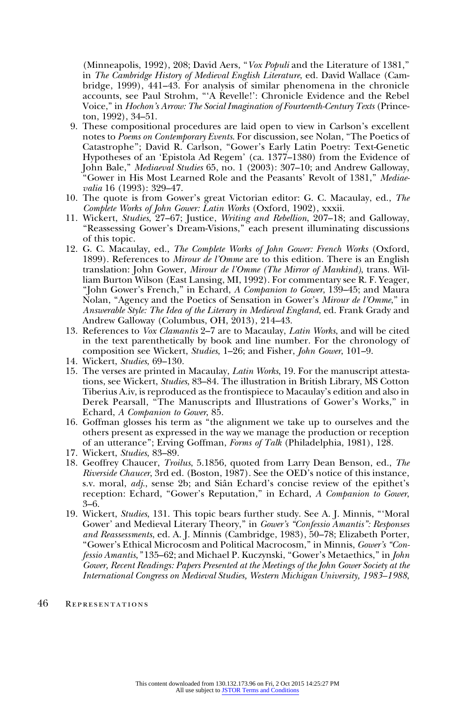(Minneapolis, 1992), 208; David Aers, "Vox Populi and the Literature of 1381," in The Cambridge History of Medieval English Literature, ed. David Wallace (Cambridge, 1999), 441–43. For analysis of similar phenomena in the chronicle accounts, see Paul Strohm, '''A Revelle!': Chronicle Evidence and the Rebel Voice,'' in Hochon's Arrow: The Social Imagination of Fourteenth-Century Texts (Princeton, 1992), 34–51.

- 9. These compositional procedures are laid open to view in Carlson's excellent notes to Poems on Contemporary Events. For discussion, see Nolan, ''The Poetics of Catastrophe''; David R. Carlson, ''Gower's Early Latin Poetry: Text-Genetic Hypotheses of an 'Epistola Ad Regem' (ca. 1377–1380) from the Evidence of John Bale,'' Mediaeval Studies 65, no. 1 (2003): 307–10; and Andrew Galloway, "Gower in His Most Learned Role and the Peasants' Revolt of 1381," Mediaevalia 16 (1993): 329–47.
- 10. The quote is from Gower's great Victorian editor: G. C. Macaulay, ed., The Complete Works of John Gower: Latin Works (Oxford, 1902), xxxii.
- 11. Wickert, Studies, 27–67; Justice, Writing and Rebellion, 207–18; and Galloway, ''Reassessing Gower's Dream-Visions,'' each present illuminating discussions of this topic.
- 12. G. C. Macaulay, ed., The Complete Works of John Gower: French Works (Oxford, 1899). References to Mirour de l'Omme are to this edition. There is an English translation: John Gower, Mirour de l'Omme (The Mirror of Mankind), trans. William Burton Wilson (East Lansing, MI, 1992). For commentary see R. F. Yeager, ''John Gower's French,'' in Echard, A Companion to Gower, 139–45; and Maura Nolan, "Agency and the Poetics of Sensation in Gower's Mirour de l'Omme," in Answerable Style: The Idea of the Literary in Medieval England, ed. Frank Grady and Andrew Galloway (Columbus, OH, 2013), 214–43.
- 13. References to Vox Clamantis 2–7 are to Macaulay, Latin Works, and will be cited in the text parenthetically by book and line number. For the chronology of composition see Wickert, Studies, 1–26; and Fisher, John Gower, 101–9.
- 14. Wickert, Studies, 69–130.
- 15. The verses are printed in Macaulay, Latin Works, 19. For the manuscript attestations, see Wickert, Studies, 83–84. The illustration in British Library, MS Cotton Tiberius A.iv, is reproduced as the frontispiece to Macaulay's edition and also in Derek Pearsall, ''The Manuscripts and Illustrations of Gower's Works,'' in Echard, A Companion to Gower, 85.
- 16. Goffman glosses his term as ''the alignment we take up to ourselves and the others present as expressed in the way we manage the production or reception of an utterance''; Erving Goffman, Forms of Talk (Philadelphia, 1981), 128.
- 17. Wickert, Studies, 83–89.
- 18. Geoffrey Chaucer, Troilus, 5.1856, quoted from Larry Dean Benson, ed., The Riverside Chaucer, 3rd ed. (Boston, 1987). See the OED's notice of this instance, s.v. moral, *adj.*, sense 2b; and Siân Echard's concise review of the epithet's reception: Echard, "Gower's Reputation," in Echard, A Companion to Gower, 3–6.
- 19. Wickert, Studies, 131. This topic bears further study. See A. J. Minnis, '''Moral Gower' and Medieval Literary Theory," in Gower's "Confessio Amantis": Responses and Reassessments, ed. A. J. Minnis (Cambridge, 1983), 50–78; Elizabeth Porter, "Gower's Ethical Microcosm and Political Macrocosm," in Minnis, *Gower's* "Confessio Amantis," 135-62; and Michael P. Kuczynski, "Gower's Metaethics," in John Gower, Recent Readings: Papers Presented at the Meetings of the John Gower Society at the International Congress on Medieval Studies, Western Michigan University, 1983–1988,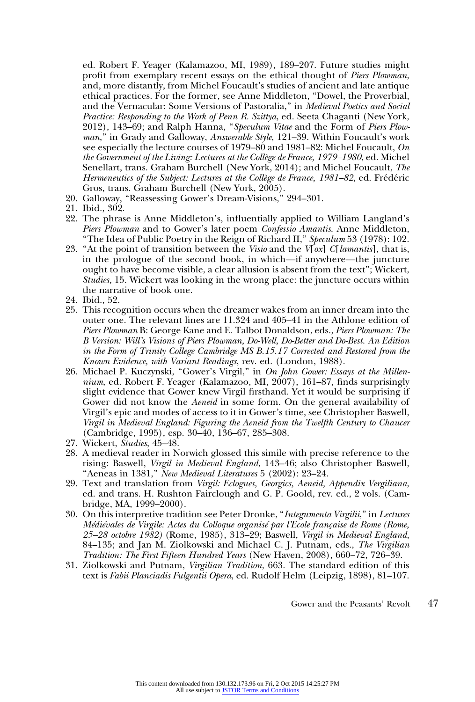ed. Robert F. Yeager (Kalamazoo, MI, 1989), 189–207. Future studies might profit from exemplary recent essays on the ethical thought of Piers Plowman, and, more distantly, from Michel Foucault's studies of ancient and late antique ethical practices. For the former, see Anne Middleton, ''Dowel, the Proverbial, and the Vernacular: Some Versions of Pastoralia," in Medieval Poetics and Social Practice: Responding to the Work of Penn R. Szittya, ed. Seeta Chaganti (New York, 2012), 143–69; and Ralph Hanna, ''Speculum Vitae and the Form of Piers Plowman," in Grady and Galloway, Answerable Style, 121–39. Within Foucault's work see especially the lecture courses of 1979–80 and 1981–82: Michel Foucault, On the Government of the Living: Lectures at the Collège de France, 1979–1980, ed. Michel Senellart, trans. Graham Burchell (New York, 2014); and Michel Foucault, The Hermeneutics of the Subject: Lectures at the Collège de France, 1981-82, ed. Frédéric Gros, trans. Graham Burchell (New York, 2005).

- 20. Galloway, ''Reassessing Gower's Dream-Visions,'' 294–301.
- 21. Ibid., 302.
- 22. The phrase is Anne Middleton's, influentially applied to William Langland's Piers Plowman and to Gower's later poem Confessio Amantis. Anne Middleton, "The Idea of Public Poetry in the Reign of Richard II," Speculum 53 (1978): 102.
- 23. "At the point of transition between the *Visio* and the  $V[\alpha x]$  C[*lamantis*], that is, in the prologue of the second book, in which—if anywhere—the juncture ought to have become visible, a clear allusion is absent from the text''; Wickert, Studies, 15. Wickert was looking in the wrong place: the juncture occurs within the narrative of book one.
- 24. Ibid., 52.
- 25. This recognition occurs when the dreamer wakes from an inner dream into the outer one. The relevant lines are 11.324 and 405–41 in the Athlone edition of Piers Plowman B: George Kane and E. Talbot Donaldson, eds., Piers Plowman: The B Version: Will's Visions of Piers Plowman, Do-Well, Do-Better and Do-Best. An Edition in the Form of Trinity College Cambridge MS B.15.17 Corrected and Restored from the Known Evidence, with Variant Readings, rev. ed. (London, 1988).
- 26. Michael P. Kuczynski, "Gower's Virgil," in On John Gower: Essays at the Millennium, ed. Robert F. Yeager (Kalamazoo, MI, 2007), 161–87, finds surprisingly slight evidence that Gower knew Virgil firsthand. Yet it would be surprising if Gower did not know the Aeneid in some form. On the general availability of Virgil's epic and modes of access to it in Gower's time, see Christopher Baswell, Virgil in Medieval England: Figuring the Aeneid from the Twelfth Century to Chaucer (Cambridge, 1995), esp. 30–40, 136–67, 285–308.
- 27. Wickert, Studies, 45–48.
- 28. A medieval reader in Norwich glossed this simile with precise reference to the rising: Baswell, Virgil in Medieval England, 143–46; also Christopher Baswell, "Aeneas in 1381," New Medieval Literatures 5 (2002): 23-24.
- 29. Text and translation from Virgil: Eclogues, Georgics, Aeneid, Appendix Vergiliana, ed. and trans. H. Rushton Fairclough and G. P. Goold, rev. ed., 2 vols. (Cambridge, MA, 1999–2000).
- 30. On this interpretive tradition see Peter Dronke, ''Integumenta Virgilii,'' in Lectures Médiévales de Virgile: Actes du Colloque organisé par l'Ecole française de Rome (Rome, 25–28 octobre 1982) (Rome, 1985), 313–29; Baswell, Virgil in Medieval England, 84–135; and Jan M. Ziolkowski and Michael C. J. Putnam, eds., The Virgilian Tradition: The First Fifteen Hundred Years (New Haven, 2008), 660–72, 726–39.
- 31. Ziolkowski and Putnam, Virgilian Tradition, 663. The standard edition of this text is Fabii Planciadis Fulgentii Opera, ed. Rudolf Helm (Leipzig, 1898), 81–107.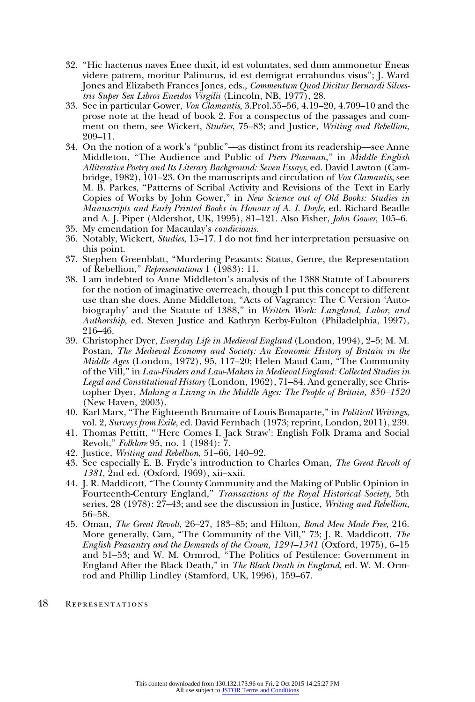- 32. ''Hic hactenus naves Enee duxit, id est voluntates, sed dum ammonetur Eneas videre patrem, moritur Palinurus, id est demigrat errabundus visus''; J. Ward Jones and Elizabeth Frances Jones, eds., Commentum Quod Dicitur Bernardi Silvestris Super Sex Libros Eneidos Virgilii (Lincoln, NB, 1977), 28.
- 33. See in particular Gower, Vox Clamantis, 3.Prol.55–56, 4.19–20, 4.709–10 and the prose note at the head of book 2. For a conspectus of the passages and comment on them, see Wickert, Studies, 75-83; and Justice, Writing and Rebellion, 209–11.
- 34. On the notion of a work's ''public''—as distinct from its readership—see Anne Middleton, "The Audience and Public of Piers Plowman," in Middle English Alliterative Poetry and Its Literary Background: Seven Essays, ed. David Lawton (Cambridge, 1982), 101–23. On the manuscripts and circulation of Vox Clamantis, see M. B. Parkes, ''Patterns of Scribal Activity and Revisions of the Text in Early Copies of Works by John Gower,'' in New Science out of Old Books: Studies in Manuscripts and Early Printed Books in Honour of A. I. Doyle, ed. Richard Beadle and A. J. Piper (Aldershot, UK, 1995), 81–121. Also Fisher, John Gower, 105–6.
- 35. My emendation for Macaulay's condicionis.
- 36. Notably, Wickert, Studies, 15–17. I do not find her interpretation persuasive on this point.
- 37. Stephen Greenblatt, ''Murdering Peasants: Status, Genre, the Representation of Rebellion,'' Representations 1 (1983): 11.
- 38. I am indebted to Anne Middleton's analysis of the 1388 Statute of Labourers for the notion of imaginative overreach, though I put this concept to different use than she does. Anne Middleton, "Acts of Vagrancy: The C Version 'Autobiography' and the Statute of 1388," in Written Work: Langland, Labor, and Authorship, ed. Steven Justice and Kathryn Kerby-Fulton (Philadelphia, 1997), 216–46.
- 39. Christopher Dyer, Everyday Life in Medieval England (London, 1994), 2–5; M. M. Postan, The Medieval Economy and Society: An Economic History of Britain in the Middle Ages (London, 1972), 95, 117–20; Helen Maud Cam, ''The Community of the Vill,'' in Law-Finders and Law-Makers in Medieval England: Collected Studies in Legal and Constitutional History (London, 1962), 71–84. And generally, see Christopher Dyer, Making a Living in the Middle Ages: The People of Britain, 850–1520 (New Haven, 2003).
- 40. Karl Marx, ''The Eighteenth Brumaire of Louis Bonaparte,'' in Political Writings, vol. 2, Surveys from Exile, ed. David Fernbach (1973; reprint, London, 2011), 239.
- 41. Thomas Pettitt, '''Here Comes I, Jack Straw': English Folk Drama and Social Revolt,'' Folklore 95, no. 1 (1984): 7.
- 42. Justice, Writing and Rebellion, 51–66, 140–92.
- 43. See especially E. B. Fryde's introduction to Charles Oman, The Great Revolt of 1381, 2nd ed. (Oxford, 1969), xii–xxii.
- 44. J. R. Maddicott, ''The County Community and the Making of Public Opinion in Fourteenth-Century England," Transactions of the Royal Historical Society, 5th series, 28 (1978): 27–43; and see the discussion in Justice, Writing and Rebellion, 56–58.
- 45. Oman, The Great Revolt, 26–27, 183–85; and Hilton, Bond Men Made Free, 216. More generally, Cam, "The Community of the Vill," 73; J. R. Maddicott, The English Peasantry and the Demands of the Crown, 1294–1341 (Oxford, 1975), 6–15 and 51–53; and W. M. Ormrod, ''The Politics of Pestilence: Government in England After the Black Death,'' in The Black Death in England, ed. W. M. Ormrod and Phillip Lindley (Stamford, UK, 1996), 159–67.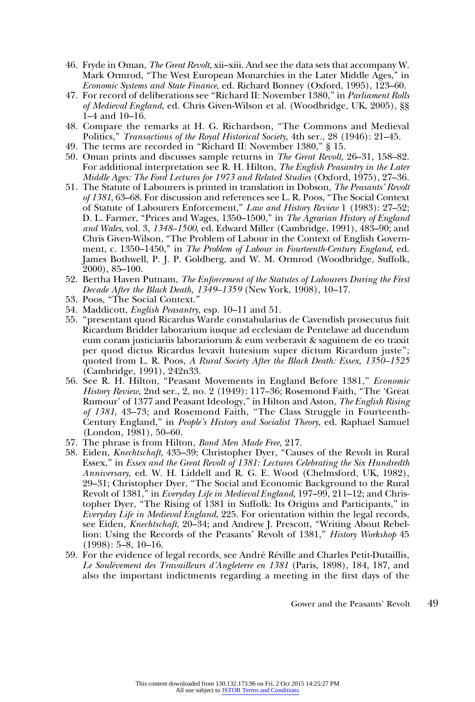- 46. Fryde in Oman, The Great Revolt, xii–xiii. And see the data sets that accompany W. Mark Ormrod, "The West European Monarchies in the Later Middle Ages," in Economic Systems and State Finance, ed. Richard Bonney (Oxford, 1995), 123–60.
- 47. For record of deliberations see "Richard II: November 1380," in Parliament Rolls of Medieval England, ed. Chris Given-Wilson et al. (Woodbridge, UK, 2005), §§ 1–4 and 10–16.
- 48. Compare the remarks at H. G. Richardson, ''The Commons and Medieval Politics," Transactions of the Royal Historical Society, 4th ser., 28 (1946): 21–45.
- 49. The terms are recorded in ''Richard II: November 1380,'' § 15.
- 50. Oman prints and discusses sample returns in The Great Revolt, 26–31, 158–82. For additional interpretation see R. H. Hilton, The English Peasantry in the Later Middle Ages: The Ford Lectures for 1973 and Related Studies (Oxford, 1975), 27–36.
- 51. The Statute of Labourers is printed in translation in Dobson, The Peasants' Revolt of 1381, 63–68. For discussion and references see L. R. Poos, ''The Social Context of Statute of Labourers Enforcement,'' Law and History Review 1 (1983): 27–52; D. L. Farmer, "Prices and Wages, 1350–1500," in The Agrarian History of England and Wales, vol. 3, 1348–1500, ed. Edward Miller (Cambridge, 1991), 483–90; and Chris Given-Wilson, ''The Problem of Labour in the Context of English Government, c. 1350–1450," in The Problem of Labour in Fourteenth-Century England, ed. James Bothwell, P. J. P. Goldberg, and W. M. Ormrod (Woodbridge, Suffolk, 2000), 85–100.
- 52. Bertha Haven Putnam, The Enforcement of the Statutes of Labourers During the First Decade After the Black Death, 1349–1359 (New York, 1908), 10–17.
- 53. Poos, ''The Social Context.''
- 54. Maddicott, English Peasantry, esp. 10–11 and 51.
- 55. ''presentant quod Ricardus Warde constabularius de Cavendish prosecutus fuit Ricardum Bridder laborarium iusque ad ecclesiam de Pentelawe ad ducendum eum coram justiciariis laborariorum & eum verberavit & saguinem de eo traxit per quod dictus Ricardus levavit hutesium super dictum Ricardum juste''; quoted from L. R. Poos, A Rural Society After the Black Death: Essex, 1350–1525 (Cambridge, 1991), 242n33.
- 56. See R. H. Hilton, "Peasant Movements in England Before 1381," Economic History Review, 2nd ser., 2, no. 2 (1949): 117–36; Rosemond Faith, "The 'Great Rumour' of 1377 and Peasant Ideology," in Hilton and Aston, *The English Rising* of 1381, 43–73; and Rosemond Faith, ''The Class Struggle in Fourteenth-Century England," in People's History and Socialist Theory, ed. Raphael Samuel (London, 1981), 50–60.
- 57. The phrase is from Hilton, Bond Men Made Free, 217.
- 58. Eiden, Knechtschaft, 435-39; Christopher Dyer, "Causes of the Revolt in Rural Essex," in Essex and the Great Revolt of 1381: Lectures Celebrating the Six Hundredth Anniversary, ed. W. H. Liddell and R. G. E. Wood (Chelmsford, UK, 1982), 29–31; Christopher Dyer, ''The Social and Economic Background to the Rural Revolt of 1381," in Everyday Life in Medieval England, 197–99, 211–12; and Christopher Dyer, ''The Rising of 1381 in Suffolk: Its Origins and Participants,'' in Everyday Life in Medieval England, 225. For orientation within the legal records, see Eiden, Knechtschaft, 20-34; and Andrew J. Prescott, "Writing About Rebellion: Using the Records of the Peasants' Revolt of 1381,'' History Workshop 45  $(1998): 5-8, 10-16.$
- 59. For the evidence of legal records, see André Réville and Charles Petit-Dutaillis, Le Soulèvement des Travailleurs d'Angleterre en 1381 (Paris, 1898), 184, 187, and also the important indictments regarding a meeting in the first days of the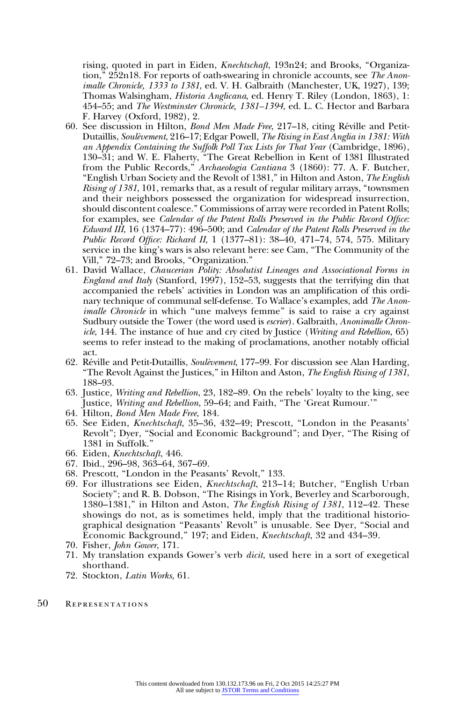rising, quoted in part in Eiden, *Knechtschaft*, 193n24; and Brooks, "Organization," 252n18. For reports of oath-swearing in chronicle accounts, see The Anonimalle Chronicle, 1333 to 1381, ed. V. H. Galbraith (Manchester, UK, 1927), 139; Thomas Walsingham, Historia Anglicana, ed. Henry T. Riley (London, 1863), 1: 454–55; and The Westminster Chronicle, 1381–1394, ed. L. C. Hector and Barbara F. Harvey (Oxford, 1982), 2.

- 60. See discussion in Hilton, Bond Men Made Free, 217-18, citing Réville and Petit-Dutaillis, Soulèvement, 216–17; Edgar Powell, The Rising in East Anglia in 1381: With an Appendix Containing the Suffolk Poll Tax Lists for That Year (Cambridge, 1896), 130–31; and W. E. Flaherty, ''The Great Rebellion in Kent of 1381 Illustrated from the Public Records,<sup>"</sup> Archaeologia Cantiana 3 (1860): 77. A. F. Butcher, "English Urban Society and the Revolt of 1381," in Hilton and Aston, The English Rising of 1381, 101, remarks that, as a result of regular military arrays, ''townsmen and their neighbors possessed the organization for widespread insurrection, should discontent coalesce.'' Commissions of array were recorded in Patent Rolls; for examples, see Calendar of the Patent Rolls Preserved in the Public Record Office: Edward III, 16 (1374–77): 496–500; and Calendar of the Patent Rolls Preserved in the Public Record Office: Richard II, 1 (1377–81): 38–40, 471–74, 574, 575. Military service in the king's wars is also relevant here: see Cam, ''The Community of the Vill,'' 72–73; and Brooks, ''Organization.''
- 61. David Wallace, Chaucerian Polity: Absolutist Lineages and Associational Forms in England and Italy (Stanford, 1997), 152–53, suggests that the terrifying din that accompanied the rebels' activities in London was an amplification of this ordinary technique of communal self-defense. To Wallace's examples, add The Anonimalle Chronicle in which "une malveys femme" is said to raise a cry against Sudbury outside the Tower (the word used is escrier). Galbraith, Anonimalle Chronicle, 144. The instance of hue and cry cited by Justice (Writing and Rebellion, 65) seems to refer instead to the making of proclamations, another notably official act.
- 62. Réville and Petit-Dutaillis, Soulèvement, 177–99. For discussion see Alan Harding, ''The Revolt Against the Justices,'' in Hilton and Aston, The English Rising of 1381, 188–93.
- 63. Justice, Writing and Rebellion, 23, 182–89. On the rebels' loyalty to the king, see Justice, Writing and Rebellion, 59–64; and Faith, "The 'Great Rumour.'"
- 64. Hilton, Bond Men Made Free, 184.
- 65. See Eiden, Knechtschaft, 35–36, 432–49; Prescott, ''London in the Peasants' Revolt"; Dyer, "Social and Economic Background"; and Dyer, "The Rising of 1381 in Suffolk.''
- 66. Eiden, Knechtschaft, 446.
- 67. Ibid., 296–98, 363–64, 367–69.
- 68. Prescott, ''London in the Peasants' Revolt,'' 133.
- 69. For illustrations see Eiden, Knechtschaft, 213–14; Butcher, ''English Urban Society''; and R. B. Dobson, ''The Risings in York, Beverley and Scarborough, 1380–1381," in Hilton and Aston, The English Rising of 1381, 112–42. These showings do not, as is sometimes held, imply that the traditional historiographical designation ''Peasants' Revolt'' is unusable. See Dyer, ''Social and Economic Background,'' 197; and Eiden, Knechtschaft, 32 and 434–39.
- 70. Fisher, John Gower, 171.
- 71. My translation expands Gower's verb dicit, used here in a sort of exegetical shorthand.
- 72. Stockton, Latin Works, 61.
- 50 Representations